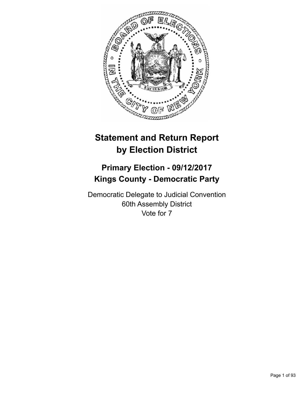

# **Statement and Return Report by Election District**

## **Primary Election - 09/12/2017 Kings County - Democratic Party**

Democratic Delegate to Judicial Convention 60th Assembly District Vote for 7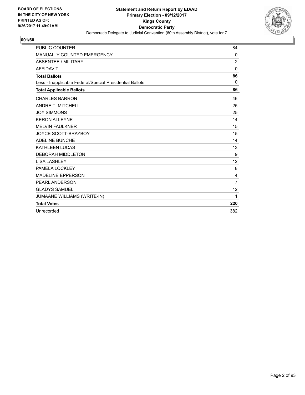

| <b>PUBLIC COUNTER</b>                                    | 84             |
|----------------------------------------------------------|----------------|
| <b>MANUALLY COUNTED EMERGENCY</b>                        | 0              |
| <b>ABSENTEE / MILITARY</b>                               | $\overline{2}$ |
| <b>AFFIDAVIT</b>                                         | 0              |
| <b>Total Ballots</b>                                     | 86             |
| Less - Inapplicable Federal/Special Presidential Ballots | 0              |
| <b>Total Applicable Ballots</b>                          | 86             |
| <b>CHARLES BARRON</b>                                    | 46             |
| <b>ANDRE T. MITCHELL</b>                                 | 25             |
| <b>JOY SIMMONS</b>                                       | 25             |
| <b>KERON ALLEYNE</b>                                     | 14             |
| <b>MELVIN FAULKNER</b>                                   | 15             |
| JOYCE SCOTT-BRAYBOY                                      | 15             |
| <b>ADELINE BUNCHE</b>                                    | 14             |
| <b>KATHLEEN LUCAS</b>                                    | 13             |
| <b>DEBORAH MIDDLETON</b>                                 | 9              |
| <b>LISA LASHLEY</b>                                      | 12             |
| PAMELA LOCKLEY                                           | 8              |
| <b>MADELINE EPPERSON</b>                                 | 4              |
| PEARL ANDERSON                                           | $\overline{7}$ |
| <b>GLADYS SAMUEL</b>                                     | 12             |
| <b>JUMAANE WILLIAMS (WRITE-IN)</b>                       | 1              |
| <b>Total Votes</b>                                       | 220            |
| Unrecorded                                               | 382            |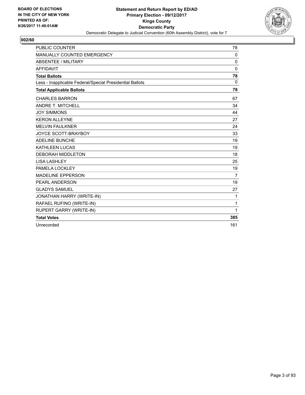

| <b>PUBLIC COUNTER</b>                                    | 78             |
|----------------------------------------------------------|----------------|
| MANUALLY COUNTED EMERGENCY                               | 0              |
| <b>ABSENTEE / MILITARY</b>                               | 0              |
| <b>AFFIDAVIT</b>                                         | 0              |
| <b>Total Ballots</b>                                     | 78             |
| Less - Inapplicable Federal/Special Presidential Ballots | $\mathbf{0}$   |
| <b>Total Applicable Ballots</b>                          | 78             |
| <b>CHARLES BARRON</b>                                    | 67             |
| <b>ANDRE T. MITCHELL</b>                                 | 34             |
| <b>JOY SIMMONS</b>                                       | 44             |
| <b>KERON ALLEYNE</b>                                     | 27             |
| <b>MELVIN FAULKNER</b>                                   | 24             |
| JOYCE SCOTT-BRAYBOY                                      | 33             |
| <b>ADELINE BUNCHE</b>                                    | 19             |
| <b>KATHLEEN LUCAS</b>                                    | 19             |
| <b>DEBORAH MIDDLETON</b>                                 | 18             |
| <b>LISA LASHLEY</b>                                      | 25             |
| PAMELA LOCKLEY                                           | 19             |
| <b>MADELINE EPPERSON</b>                                 | $\overline{7}$ |
| PEARL ANDERSON                                           | 19             |
| <b>GLADYS SAMUEL</b>                                     | 27             |
| JONATHAN HARRY (WRITE-IN)                                | 1              |
| RAFAEL RUFINO (WRITE-IN)                                 | 1              |
| <b>RUPERT GARRY (WRITE-IN)</b>                           | 1              |
| <b>Total Votes</b>                                       | 385            |
| Unrecorded                                               | 161            |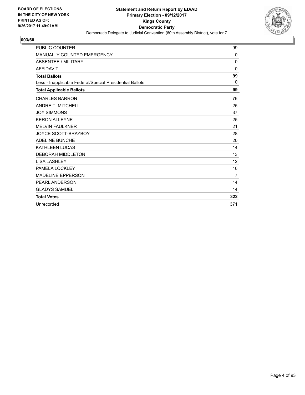

| <b>PUBLIC COUNTER</b>                                    | 99           |
|----------------------------------------------------------|--------------|
| <b>MANUALLY COUNTED EMERGENCY</b>                        | $\mathbf{0}$ |
| <b>ABSENTEE / MILITARY</b>                               | 0            |
| <b>AFFIDAVIT</b>                                         | $\Omega$     |
| <b>Total Ballots</b>                                     | 99           |
| Less - Inapplicable Federal/Special Presidential Ballots | $\Omega$     |
| <b>Total Applicable Ballots</b>                          | 99           |
| <b>CHARLES BARRON</b>                                    | 76           |
| <b>ANDRE T. MITCHELL</b>                                 | 25           |
| <b>JOY SIMMONS</b>                                       | 37           |
| <b>KERON ALLEYNE</b>                                     | 25           |
| <b>MELVIN FAULKNER</b>                                   | 21           |
| <b>JOYCE SCOTT-BRAYBOY</b>                               | 28           |
| <b>ADELINE BUNCHE</b>                                    | 20           |
| <b>KATHLEEN LUCAS</b>                                    | 14           |
| <b>DEBORAH MIDDLETON</b>                                 | 13           |
| <b>LISA LASHLEY</b>                                      | 12           |
| PAMELA LOCKLEY                                           | 16           |
| <b>MADELINE EPPERSON</b>                                 | 7            |
| <b>PEARL ANDERSON</b>                                    | 14           |
| <b>GLADYS SAMUEL</b>                                     | 14           |
| <b>Total Votes</b>                                       | 322          |
| Unrecorded                                               | 371          |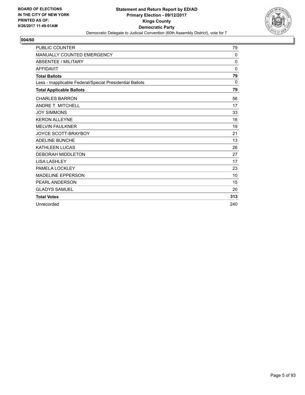

| <b>PUBLIC COUNTER</b>                                    | 79       |
|----------------------------------------------------------|----------|
| MANUALLY COUNTED EMERGENCY                               | 0        |
| <b>ABSENTEE / MILITARY</b>                               | 0        |
| <b>AFFIDAVIT</b>                                         | $\Omega$ |
| <b>Total Ballots</b>                                     | 79       |
| Less - Inapplicable Federal/Special Presidential Ballots | 0        |
| <b>Total Applicable Ballots</b>                          | 79       |
| <b>CHARLES BARRON</b>                                    | 56       |
| <b>ANDRE T. MITCHELL</b>                                 | 17       |
| <b>JOY SIMMONS</b>                                       | 33       |
| <b>KERON ALLEYNE</b>                                     | 16       |
| <b>MELVIN FAULKNER</b>                                   | 19       |
| JOYCE SCOTT-BRAYBOY                                      | 21       |
| <b>ADELINE BUNCHE</b>                                    | 13       |
| <b>KATHLEEN LUCAS</b>                                    | 26       |
| <b>DEBORAH MIDDLETON</b>                                 | 27       |
| <b>LISA LASHLEY</b>                                      | 17       |
| PAMELA LOCKLEY                                           | 23       |
| <b>MADELINE EPPERSON</b>                                 | 10       |
| <b>PEARL ANDERSON</b>                                    | 15       |
| <b>GLADYS SAMUEL</b>                                     | 20       |
| <b>Total Votes</b>                                       | 313      |
| Unrecorded                                               | 240      |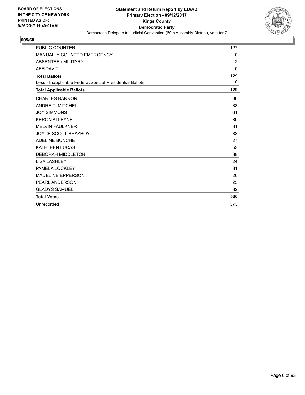

| <b>PUBLIC COUNTER</b>                                    | 127            |
|----------------------------------------------------------|----------------|
| <b>MANUALLY COUNTED EMERGENCY</b>                        | $\mathbf{0}$   |
| <b>ABSENTEE / MILITARY</b>                               | $\overline{2}$ |
| <b>AFFIDAVIT</b>                                         | $\Omega$       |
| <b>Total Ballots</b>                                     | 129            |
| Less - Inapplicable Federal/Special Presidential Ballots | $\Omega$       |
| <b>Total Applicable Ballots</b>                          | 129            |
| <b>CHARLES BARRON</b>                                    | 86             |
| <b>ANDRE T. MITCHELL</b>                                 | 33             |
| <b>JOY SIMMONS</b>                                       | 61             |
| <b>KERON ALLEYNE</b>                                     | 30             |
| <b>MELVIN FAULKNER</b>                                   | 31             |
| <b>JOYCE SCOTT-BRAYBOY</b>                               | 33             |
| <b>ADELINE BUNCHE</b>                                    | 27             |
| <b>KATHLEEN LUCAS</b>                                    | 53             |
| <b>DEBORAH MIDDLETON</b>                                 | 38             |
| <b>LISA LASHLEY</b>                                      | 24             |
| PAMELA LOCKLEY                                           | 31             |
| <b>MADELINE EPPERSON</b>                                 | 26             |
| <b>PEARL ANDERSON</b>                                    | 25             |
| <b>GLADYS SAMUEL</b>                                     | 32             |
| <b>Total Votes</b>                                       | 530            |
| Unrecorded                                               | 373            |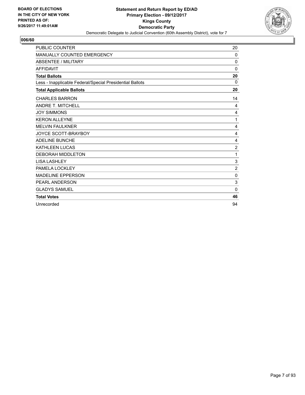

| <b>PUBLIC COUNTER</b>                                    | 20             |
|----------------------------------------------------------|----------------|
| MANUALLY COUNTED EMERGENCY                               | 0              |
| <b>ABSENTEE / MILITARY</b>                               | 0              |
| <b>AFFIDAVIT</b>                                         | $\mathbf{0}$   |
| <b>Total Ballots</b>                                     | 20             |
| Less - Inapplicable Federal/Special Presidential Ballots | $\Omega$       |
| <b>Total Applicable Ballots</b>                          | 20             |
| <b>CHARLES BARRON</b>                                    | 14             |
| <b>ANDRE T. MITCHELL</b>                                 | 4              |
| <b>JOY SIMMONS</b>                                       | 4              |
| <b>KERON ALLEYNE</b>                                     | 1              |
| <b>MELVIN FAULKNER</b>                                   | 4              |
| <b>JOYCE SCOTT-BRAYBOY</b>                               | 4              |
| <b>ADELINE BUNCHE</b>                                    | 4              |
| <b>KATHLEEN LUCAS</b>                                    | $\overline{2}$ |
| <b>DEBORAH MIDDLETON</b>                                 | 1              |
| <b>LISA LASHLEY</b>                                      | 3              |
| PAMELA LOCKLEY                                           | $\overline{2}$ |
| <b>MADELINE EPPERSON</b>                                 | 0              |
| PEARL ANDERSON                                           | 3              |
| <b>GLADYS SAMUEL</b>                                     | 0              |
| <b>Total Votes</b>                                       | 46             |
| Unrecorded                                               | 94             |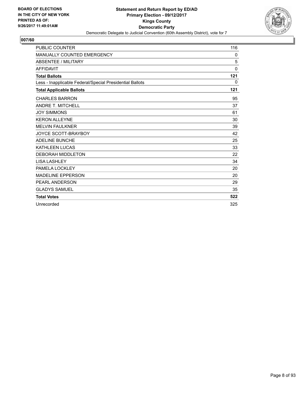

| <b>PUBLIC COUNTER</b>                                    | 116      |
|----------------------------------------------------------|----------|
| <b>MANUALLY COUNTED EMERGENCY</b>                        | 0        |
| <b>ABSENTEE / MILITARY</b>                               | 5        |
| <b>AFFIDAVIT</b>                                         | $\Omega$ |
| <b>Total Ballots</b>                                     | 121      |
| Less - Inapplicable Federal/Special Presidential Ballots | 0        |
| <b>Total Applicable Ballots</b>                          | 121      |
| <b>CHARLES BARRON</b>                                    | 95       |
| <b>ANDRE T. MITCHELL</b>                                 | 37       |
| <b>JOY SIMMONS</b>                                       | 61       |
| <b>KERON ALLEYNE</b>                                     | 30       |
| <b>MELVIN FAULKNER</b>                                   | 39       |
| <b>JOYCE SCOTT-BRAYBOY</b>                               | 42       |
| <b>ADELINE BUNCHE</b>                                    | 25       |
| <b>KATHLEEN LUCAS</b>                                    | 33       |
| <b>DEBORAH MIDDLETON</b>                                 | 22       |
| <b>LISA LASHLEY</b>                                      | 34       |
| PAMELA LOCKLEY                                           | 20       |
| <b>MADELINE EPPERSON</b>                                 | 20       |
| <b>PEARL ANDERSON</b>                                    | 29       |
| <b>GLADYS SAMUEL</b>                                     | 35       |
| <b>Total Votes</b>                                       | 522      |
| Unrecorded                                               | 325      |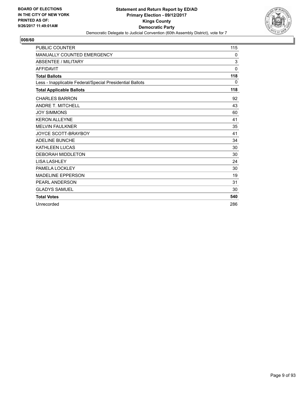

| <b>PUBLIC COUNTER</b>                                    | 115          |
|----------------------------------------------------------|--------------|
| <b>MANUALLY COUNTED EMERGENCY</b>                        | $\mathbf{0}$ |
| <b>ABSENTEE / MILITARY</b>                               | 3            |
| <b>AFFIDAVIT</b>                                         | $\mathbf{0}$ |
| <b>Total Ballots</b>                                     | 118          |
| Less - Inapplicable Federal/Special Presidential Ballots | 0            |
| <b>Total Applicable Ballots</b>                          | 118          |
| <b>CHARLES BARRON</b>                                    | 92           |
| <b>ANDRE T. MITCHELL</b>                                 | 43           |
| <b>JOY SIMMONS</b>                                       | 60           |
| <b>KERON ALLEYNE</b>                                     | 41           |
| <b>MELVIN FAULKNER</b>                                   | 35           |
| JOYCE SCOTT-BRAYBOY                                      | 41           |
| <b>ADELINE BUNCHE</b>                                    | 34           |
| <b>KATHLEEN LUCAS</b>                                    | 30           |
| <b>DEBORAH MIDDLETON</b>                                 | 30           |
| <b>LISA LASHLEY</b>                                      | 24           |
| PAMELA LOCKLEY                                           | 30           |
| <b>MADELINE EPPERSON</b>                                 | 19           |
| <b>PEARL ANDERSON</b>                                    | 31           |
| <b>GLADYS SAMUEL</b>                                     | 30           |
| <b>Total Votes</b>                                       | 540          |
| Unrecorded                                               | 286          |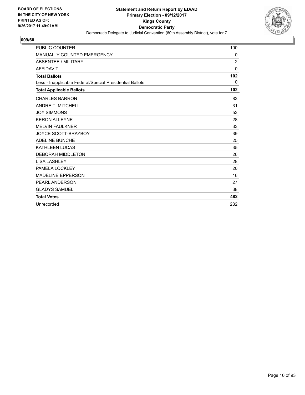

| <b>PUBLIC COUNTER</b>                                    | 100      |
|----------------------------------------------------------|----------|
| <b>MANUALLY COUNTED EMERGENCY</b>                        | 0        |
| <b>ABSENTEE / MILITARY</b>                               | 2        |
| <b>AFFIDAVIT</b>                                         | $\Omega$ |
| <b>Total Ballots</b>                                     | 102      |
| Less - Inapplicable Federal/Special Presidential Ballots | 0        |
| <b>Total Applicable Ballots</b>                          | 102      |
| <b>CHARLES BARRON</b>                                    | 83       |
| <b>ANDRE T. MITCHELL</b>                                 | 31       |
| <b>JOY SIMMONS</b>                                       | 53       |
| <b>KERON ALLEYNE</b>                                     | 28       |
| <b>MELVIN FAULKNER</b>                                   | 33       |
| <b>JOYCE SCOTT-BRAYBOY</b>                               | 39       |
| <b>ADELINE BUNCHE</b>                                    | 25       |
| <b>KATHLEEN LUCAS</b>                                    | 35       |
| <b>DEBORAH MIDDLETON</b>                                 | 26       |
| <b>LISA LASHLEY</b>                                      | 28       |
| PAMELA LOCKLEY                                           | 20       |
| <b>MADELINE EPPERSON</b>                                 | 16       |
| <b>PEARL ANDERSON</b>                                    | 27       |
| <b>GLADYS SAMUEL</b>                                     | 38       |
| <b>Total Votes</b>                                       | 482      |
| Unrecorded                                               | 232      |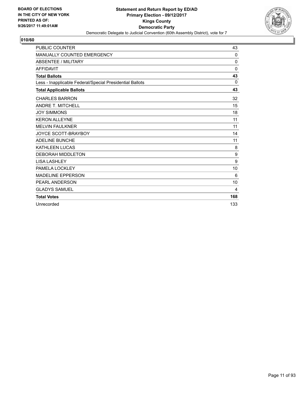

| <b>PUBLIC COUNTER</b>                                    | 43          |
|----------------------------------------------------------|-------------|
| <b>MANUALLY COUNTED EMERGENCY</b>                        | $\mathbf 0$ |
| <b>ABSENTEE / MILITARY</b>                               | 0           |
| <b>AFFIDAVIT</b>                                         | $\Omega$    |
| <b>Total Ballots</b>                                     | 43          |
| Less - Inapplicable Federal/Special Presidential Ballots | $\Omega$    |
| <b>Total Applicable Ballots</b>                          | 43          |
| <b>CHARLES BARRON</b>                                    | 32          |
| <b>ANDRE T. MITCHELL</b>                                 | 15          |
| <b>JOY SIMMONS</b>                                       | 18          |
| <b>KERON ALLEYNE</b>                                     | 11          |
| <b>MELVIN FAULKNER</b>                                   | 11          |
| <b>JOYCE SCOTT-BRAYBOY</b>                               | 14          |
| <b>ADELINE BUNCHE</b>                                    | 11          |
| <b>KATHLEEN LUCAS</b>                                    | 8           |
| <b>DEBORAH MIDDLETON</b>                                 | 9           |
| <b>LISA LASHLEY</b>                                      | 9           |
| PAMELA LOCKLEY                                           | 10          |
| <b>MADELINE EPPERSON</b>                                 | 6           |
| PEARL ANDERSON                                           | 10          |
| <b>GLADYS SAMUEL</b>                                     | 4           |
| <b>Total Votes</b>                                       | 168         |
| Unrecorded                                               | 133         |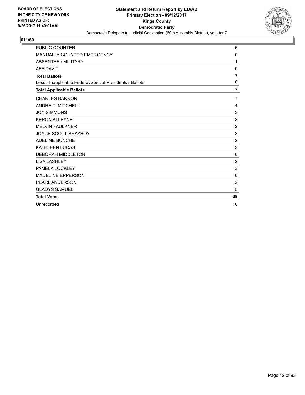

| <b>PUBLIC COUNTER</b>                                    | 6              |
|----------------------------------------------------------|----------------|
| MANUALLY COUNTED EMERGENCY                               | 0              |
| <b>ABSENTEE / MILITARY</b>                               | 1              |
| <b>AFFIDAVIT</b>                                         | 0              |
| <b>Total Ballots</b>                                     | $\overline{7}$ |
| Less - Inapplicable Federal/Special Presidential Ballots | 0              |
| <b>Total Applicable Ballots</b>                          | $\overline{7}$ |
| <b>CHARLES BARRON</b>                                    | $\overline{7}$ |
| <b>ANDRE T. MITCHELL</b>                                 | 4              |
| <b>JOY SIMMONS</b>                                       | 3              |
| <b>KERON ALLEYNE</b>                                     | 3              |
| <b>MELVIN FAULKNER</b>                                   | $\overline{2}$ |
| JOYCE SCOTT-BRAYBOY                                      | 3              |
| <b>ADELINE BUNCHE</b>                                    | $\overline{2}$ |
| <b>KATHLEEN LUCAS</b>                                    | 3              |
| <b>DEBORAH MIDDLETON</b>                                 | 0              |
| <b>LISA LASHLEY</b>                                      | $\overline{2}$ |
| PAMELA LOCKLEY                                           | 3              |
| <b>MADELINE EPPERSON</b>                                 | 0              |
| <b>PEARL ANDERSON</b>                                    | $\overline{2}$ |
| <b>GLADYS SAMUEL</b>                                     | 5              |
| <b>Total Votes</b>                                       | 39             |
| Unrecorded                                               | 10             |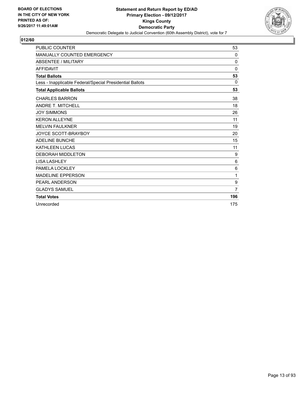

| <b>PUBLIC COUNTER</b>                                    | 53             |
|----------------------------------------------------------|----------------|
| MANUALLY COUNTED EMERGENCY                               | 0              |
| ABSENTEE / MILITARY                                      | $\mathbf 0$    |
| <b>AFFIDAVIT</b>                                         | $\Omega$       |
| <b>Total Ballots</b>                                     | 53             |
| Less - Inapplicable Federal/Special Presidential Ballots | $\Omega$       |
| <b>Total Applicable Ballots</b>                          | 53             |
| <b>CHARLES BARRON</b>                                    | 38             |
| <b>ANDRE T. MITCHELL</b>                                 | 18             |
| <b>JOY SIMMONS</b>                                       | 26             |
| <b>KERON ALLEYNE</b>                                     | 11             |
| <b>MELVIN FAULKNER</b>                                   | 19             |
| <b>JOYCE SCOTT-BRAYBOY</b>                               | 20             |
| <b>ADELINE BUNCHE</b>                                    | 15             |
| KATHLEEN LUCAS                                           | 11             |
| <b>DEBORAH MIDDLETON</b>                                 | 9              |
| <b>LISA LASHLEY</b>                                      | 6              |
| PAMELA LOCKLEY                                           | 6              |
| <b>MADELINE EPPERSON</b>                                 | 1              |
| <b>PEARL ANDERSON</b>                                    | 9              |
| <b>GLADYS SAMUEL</b>                                     | $\overline{7}$ |
| <b>Total Votes</b>                                       | 196            |
| Unrecorded                                               | 175            |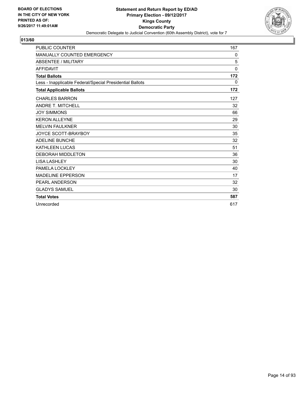

| <b>PUBLIC COUNTER</b>                                    | 167          |
|----------------------------------------------------------|--------------|
| MANUALLY COUNTED EMERGENCY                               | 0            |
| ABSENTEE / MILITARY                                      | 5            |
| <b>AFFIDAVIT</b>                                         | $\mathbf{0}$ |
| <b>Total Ballots</b>                                     | 172          |
| Less - Inapplicable Federal/Special Presidential Ballots | 0            |
| <b>Total Applicable Ballots</b>                          | 172          |
| <b>CHARLES BARRON</b>                                    | 127          |
| <b>ANDRE T. MITCHELL</b>                                 | 32           |
| <b>JOY SIMMONS</b>                                       | 66           |
| <b>KERON ALLEYNE</b>                                     | 29           |
| <b>MELVIN FAULKNER</b>                                   | 30           |
| JOYCE SCOTT-BRAYBOY                                      | 35           |
| <b>ADELINE BUNCHE</b>                                    | 32           |
| <b>KATHLEEN LUCAS</b>                                    | 51           |
| <b>DEBORAH MIDDLETON</b>                                 | 36           |
| <b>LISA LASHLEY</b>                                      | 30           |
| PAMELA LOCKLEY                                           | 40           |
| <b>MADELINE EPPERSON</b>                                 | 17           |
| <b>PEARL ANDERSON</b>                                    | 32           |
| <b>GLADYS SAMUEL</b>                                     | 30           |
| <b>Total Votes</b>                                       | 587          |
| Unrecorded                                               | 617          |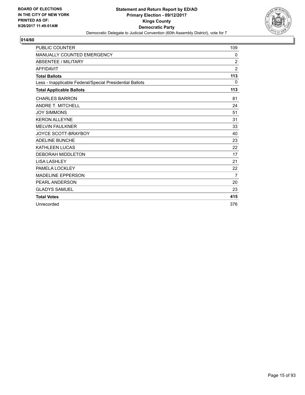

| <b>PUBLIC COUNTER</b>                                    | 109            |
|----------------------------------------------------------|----------------|
| MANUALLY COUNTED EMERGENCY                               | 0              |
| ABSENTEE / MILITARY                                      | $\overline{2}$ |
| <b>AFFIDAVIT</b>                                         | $\overline{2}$ |
| <b>Total Ballots</b>                                     | 113            |
| Less - Inapplicable Federal/Special Presidential Ballots | 0              |
| <b>Total Applicable Ballots</b>                          | 113            |
| <b>CHARLES BARRON</b>                                    | 81             |
| <b>ANDRE T. MITCHELL</b>                                 | 24             |
| <b>JOY SIMMONS</b>                                       | 51             |
| <b>KERON ALLEYNE</b>                                     | 31             |
| <b>MELVIN FAULKNER</b>                                   | 33             |
| JOYCE SCOTT-BRAYBOY                                      | 40             |
| <b>ADELINE BUNCHE</b>                                    | 23             |
| <b>KATHLEEN LUCAS</b>                                    | 22             |
| <b>DEBORAH MIDDLETON</b>                                 | 17             |
| <b>LISA LASHLEY</b>                                      | 21             |
| PAMELA LOCKLEY                                           | 22             |
| <b>MADELINE EPPERSON</b>                                 | 7              |
| PEARL ANDERSON                                           | 20             |
| <b>GLADYS SAMUEL</b>                                     | 23             |
| <b>Total Votes</b>                                       | 415            |
| Unrecorded                                               | 376            |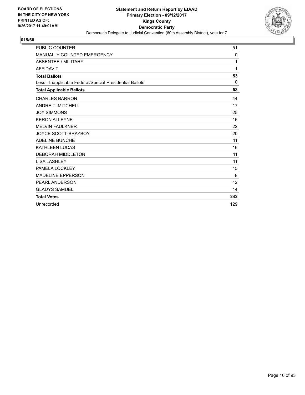

| <b>PUBLIC COUNTER</b>                                    | 51       |
|----------------------------------------------------------|----------|
| MANUALLY COUNTED EMERGENCY                               | 0        |
| <b>ABSENTEE / MILITARY</b>                               | 1        |
| <b>AFFIDAVIT</b>                                         | 1        |
| <b>Total Ballots</b>                                     | 53       |
| Less - Inapplicable Federal/Special Presidential Ballots | $\Omega$ |
| <b>Total Applicable Ballots</b>                          | 53       |
| <b>CHARLES BARRON</b>                                    | 44       |
| <b>ANDRE T. MITCHELL</b>                                 | 17       |
| <b>JOY SIMMONS</b>                                       | 25       |
| <b>KERON ALLEYNE</b>                                     | 16       |
| <b>MELVIN FAULKNER</b>                                   | 22       |
| <b>JOYCE SCOTT-BRAYBOY</b>                               | 20       |
| <b>ADELINE BUNCHE</b>                                    | 11       |
| <b>KATHLEEN LUCAS</b>                                    | 16       |
| <b>DEBORAH MIDDLETON</b>                                 | 11       |
| <b>LISA LASHLEY</b>                                      | 11       |
| PAMELA LOCKLEY                                           | 15       |
| <b>MADELINE EPPERSON</b>                                 | 8        |
| PEARL ANDERSON                                           | 12       |
| <b>GLADYS SAMUEL</b>                                     | 14       |
| <b>Total Votes</b>                                       | 242      |
| Unrecorded                                               | 129      |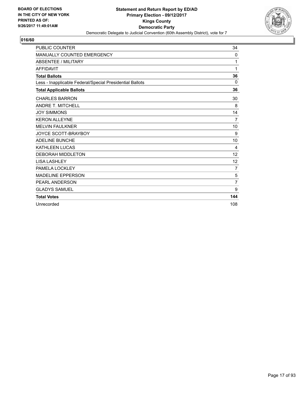

| <b>PUBLIC COUNTER</b>                                    | 34             |
|----------------------------------------------------------|----------------|
| MANUALLY COUNTED EMERGENCY                               | 0              |
| <b>ABSENTEE / MILITARY</b>                               | 1              |
| <b>AFFIDAVIT</b>                                         | 1              |
| <b>Total Ballots</b>                                     | 36             |
| Less - Inapplicable Federal/Special Presidential Ballots | 0              |
| <b>Total Applicable Ballots</b>                          | 36             |
| <b>CHARLES BARRON</b>                                    | 30             |
| <b>ANDRE T. MITCHELL</b>                                 | 8              |
| <b>JOY SIMMONS</b>                                       | 14             |
| <b>KERON ALLEYNE</b>                                     | $\overline{7}$ |
| <b>MELVIN FAULKNER</b>                                   | 10             |
| JOYCE SCOTT-BRAYBOY                                      | 9              |
| <b>ADELINE BUNCHE</b>                                    | 10             |
| <b>KATHLEEN LUCAS</b>                                    | 4              |
| <b>DEBORAH MIDDLETON</b>                                 | 12             |
| <b>LISA LASHLEY</b>                                      | 12             |
| PAMELA LOCKLEY                                           | 7              |
| <b>MADELINE EPPERSON</b>                                 | 5              |
| PEARL ANDERSON                                           | $\overline{7}$ |
| <b>GLADYS SAMUEL</b>                                     | 9              |
| <b>Total Votes</b>                                       | 144            |
| Unrecorded                                               | 108            |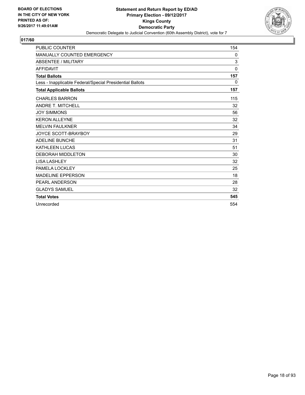

| <b>PUBLIC COUNTER</b>                                    | 154          |
|----------------------------------------------------------|--------------|
| MANUALLY COUNTED EMERGENCY                               | 0            |
| <b>ABSENTEE / MILITARY</b>                               | 3            |
| <b>AFFIDAVIT</b>                                         | $\mathbf{0}$ |
| <b>Total Ballots</b>                                     | 157          |
| Less - Inapplicable Federal/Special Presidential Ballots | 0            |
| <b>Total Applicable Ballots</b>                          | 157          |
| <b>CHARLES BARRON</b>                                    | 115          |
| <b>ANDRE T. MITCHELL</b>                                 | 32           |
| <b>JOY SIMMONS</b>                                       | 56           |
| <b>KERON ALLEYNE</b>                                     | 32           |
| <b>MELVIN FAULKNER</b>                                   | 34           |
| <b>JOYCE SCOTT-BRAYBOY</b>                               | 29           |
| <b>ADELINE BUNCHE</b>                                    | 31           |
| <b>KATHLEEN LUCAS</b>                                    | 51           |
| <b>DEBORAH MIDDLETON</b>                                 | 30           |
| <b>LISA LASHLEY</b>                                      | 32           |
| PAMELA LOCKLEY                                           | 25           |
| <b>MADELINE EPPERSON</b>                                 | 18           |
| <b>PEARL ANDERSON</b>                                    | 28           |
| <b>GLADYS SAMUEL</b>                                     | 32           |
| <b>Total Votes</b>                                       | 545          |
| Unrecorded                                               | 554          |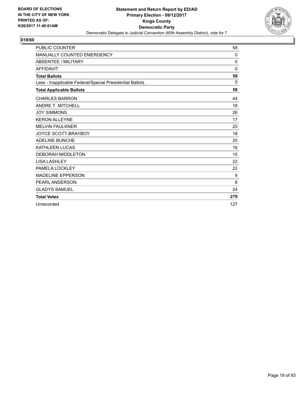

| <b>PUBLIC COUNTER</b>                                    | 58           |
|----------------------------------------------------------|--------------|
| MANUALLY COUNTED EMERGENCY                               | 0            |
| ABSENTEE / MILITARY                                      | 0            |
| <b>AFFIDAVIT</b>                                         | $\mathbf{0}$ |
| <b>Total Ballots</b>                                     | 58           |
| Less - Inapplicable Federal/Special Presidential Ballots | 0            |
| <b>Total Applicable Ballots</b>                          | 58           |
| <b>CHARLES BARRON</b>                                    | 44           |
| <b>ANDRE T. MITCHELL</b>                                 | 18           |
| <b>JOY SIMMONS</b>                                       | 26           |
| <b>KERON ALLEYNE</b>                                     | 17           |
| <b>MELVIN FAULKNER</b>                                   | 20           |
| JOYCE SCOTT-BRAYBOY                                      | 18           |
| <b>ADELINE BUNCHE</b>                                    | 20           |
| <b>KATHLEEN LUCAS</b>                                    | 16           |
| <b>DEBORAH MIDDLETON</b>                                 | 15           |
| <b>LISA LASHLEY</b>                                      | 22           |
| PAMELA LOCKLEY                                           | 22           |
| <b>MADELINE EPPERSON</b>                                 | 9            |
| PEARL ANDERSON                                           | 8            |
| <b>GLADYS SAMUEL</b>                                     | 24           |
| <b>Total Votes</b>                                       | 279          |
| Unrecorded                                               | 127          |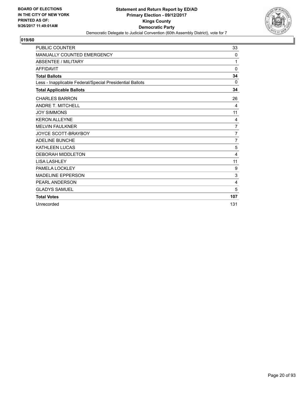

| <b>PUBLIC COUNTER</b>                                    | 33             |
|----------------------------------------------------------|----------------|
| MANUALLY COUNTED EMERGENCY                               | 0              |
| <b>ABSENTEE / MILITARY</b>                               | 1              |
| <b>AFFIDAVIT</b>                                         | 0              |
| <b>Total Ballots</b>                                     | 34             |
| Less - Inapplicable Federal/Special Presidential Ballots | $\mathbf{0}$   |
| <b>Total Applicable Ballots</b>                          | 34             |
| <b>CHARLES BARRON</b>                                    | 26             |
| <b>ANDRE T. MITCHELL</b>                                 | 4              |
| <b>JOY SIMMONS</b>                                       | 11             |
| <b>KERON ALLEYNE</b>                                     | 4              |
| <b>MELVIN FAULKNER</b>                                   | $\overline{7}$ |
| <b>JOYCE SCOTT-BRAYBOY</b>                               | 7              |
| <b>ADELINE BUNCHE</b>                                    | $\overline{7}$ |
| KATHLEEN LUCAS                                           | 5              |
| <b>DEBORAH MIDDLETON</b>                                 | 4              |
| <b>LISA LASHLEY</b>                                      | 11             |
| PAMELA LOCKLEY                                           | 9              |
| <b>MADELINE EPPERSON</b>                                 | 3              |
| PEARL ANDERSON                                           | 4              |
| <b>GLADYS SAMUEL</b>                                     | 5              |
| <b>Total Votes</b>                                       | 107            |
| Unrecorded                                               | 131            |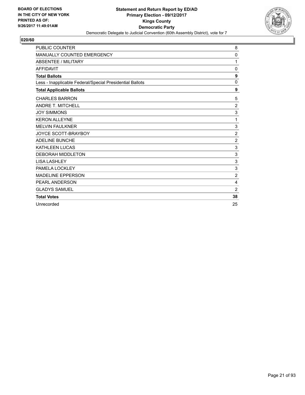

| <b>PUBLIC COUNTER</b>                                    | 8              |
|----------------------------------------------------------|----------------|
| MANUALLY COUNTED EMERGENCY                               | 0              |
| <b>ABSENTEE / MILITARY</b>                               | 1              |
| <b>AFFIDAVIT</b>                                         | 0              |
| <b>Total Ballots</b>                                     | 9              |
| Less - Inapplicable Federal/Special Presidential Ballots | 0              |
| <b>Total Applicable Ballots</b>                          | 9              |
| <b>CHARLES BARRON</b>                                    | 5              |
| <b>ANDRE T. MITCHELL</b>                                 | $\overline{2}$ |
| <b>JOY SIMMONS</b>                                       | 3              |
| <b>KERON ALLEYNE</b>                                     | 1              |
| <b>MELVIN FAULKNER</b>                                   | $\mathsf 3$    |
| JOYCE SCOTT-BRAYBOY                                      | $\overline{2}$ |
| <b>ADELINE BUNCHE</b>                                    | $\overline{2}$ |
| <b>KATHLEEN LUCAS</b>                                    | 3              |
| <b>DEBORAH MIDDLETON</b>                                 | $\mathsf 3$    |
| <b>LISA LASHLEY</b>                                      | 3              |
| PAMELA LOCKLEY                                           | 3              |
| <b>MADELINE EPPERSON</b>                                 | $\overline{2}$ |
| <b>PEARL ANDERSON</b>                                    | 4              |
| <b>GLADYS SAMUEL</b>                                     | $\overline{2}$ |
| <b>Total Votes</b>                                       | 38             |
| Unrecorded                                               | 25             |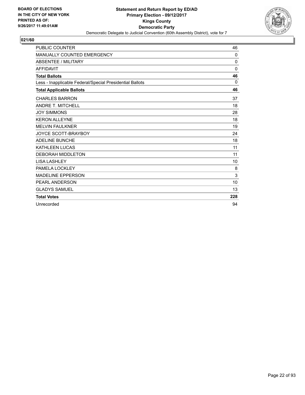

| <b>PUBLIC COUNTER</b>                                    | 46           |
|----------------------------------------------------------|--------------|
| <b>MANUALLY COUNTED EMERGENCY</b>                        | $\mathbf 0$  |
| <b>ABSENTEE / MILITARY</b>                               | $\mathbf{0}$ |
| <b>AFFIDAVIT</b>                                         | $\mathbf{0}$ |
| <b>Total Ballots</b>                                     | 46           |
| Less - Inapplicable Federal/Special Presidential Ballots | 0            |
| <b>Total Applicable Ballots</b>                          | 46           |
| <b>CHARLES BARRON</b>                                    | 37           |
| <b>ANDRE T. MITCHELL</b>                                 | 18           |
| <b>JOY SIMMONS</b>                                       | 28           |
| <b>KERON ALLEYNE</b>                                     | 18           |
| <b>MELVIN FAULKNER</b>                                   | 19           |
| JOYCE SCOTT-BRAYBOY                                      | 24           |
| <b>ADELINE BUNCHE</b>                                    | 18           |
| <b>KATHLEEN LUCAS</b>                                    | 11           |
| <b>DEBORAH MIDDLETON</b>                                 | 11           |
| <b>LISA LASHLEY</b>                                      | 10           |
| PAMELA LOCKLEY                                           | 8            |
| <b>MADELINE EPPERSON</b>                                 | 3            |
| PEARL ANDERSON                                           | 10           |
| <b>GLADYS SAMUEL</b>                                     | 13           |
| <b>Total Votes</b>                                       | 228          |
| Unrecorded                                               | 94           |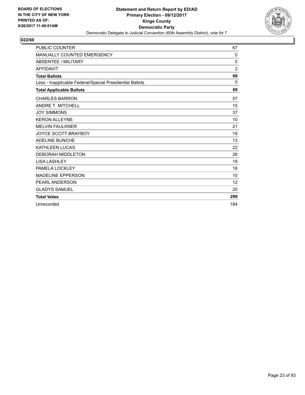

| <b>PUBLIC COUNTER</b>                                    | 67  |
|----------------------------------------------------------|-----|
| MANUALLY COUNTED EMERGENCY                               | 0   |
| ABSENTEE / MILITARY                                      | 0   |
| <b>AFFIDAVIT</b>                                         | 2   |
| <b>Total Ballots</b>                                     | 69  |
| Less - Inapplicable Federal/Special Presidential Ballots | 0   |
| <b>Total Applicable Ballots</b>                          | 69  |
| <b>CHARLES BARRON</b>                                    | 57  |
| <b>ANDRE T. MITCHELL</b>                                 | 15  |
| <b>JOY SIMMONS</b>                                       | 37  |
| <b>KERON ALLEYNE</b>                                     | 10  |
| <b>MELVIN FAULKNER</b>                                   | 21  |
| JOYCE SCOTT-BRAYBOY                                      | 19  |
| <b>ADELINE BUNCHE</b>                                    | 13  |
| <b>KATHLEEN LUCAS</b>                                    | 22  |
| <b>DEBORAH MIDDLETON</b>                                 | 26  |
| <b>LISA LASHLEY</b>                                      | 19  |
| PAMELA LOCKLEY                                           | 18  |
| <b>MADELINE EPPERSON</b>                                 | 10  |
| PEARL ANDERSON                                           | 12  |
| <b>GLADYS SAMUEL</b>                                     | 20  |
| <b>Total Votes</b>                                       | 299 |
| Unrecorded                                               | 184 |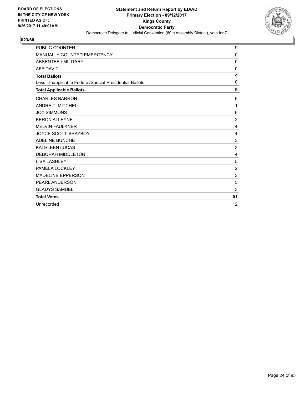

| <b>PUBLIC COUNTER</b>                                    | 9               |
|----------------------------------------------------------|-----------------|
| MANUALLY COUNTED EMERGENCY                               | 0               |
| <b>ABSENTEE / MILITARY</b>                               | 0               |
| <b>AFFIDAVIT</b>                                         | 0               |
| <b>Total Ballots</b>                                     | 9               |
| Less - Inapplicable Federal/Special Presidential Ballots | $\mathbf 0$     |
| <b>Total Applicable Ballots</b>                          | 9               |
| <b>CHARLES BARRON</b>                                    | 6               |
| <b>ANDRE T. MITCHELL</b>                                 | 1               |
| <b>JOY SIMMONS</b>                                       | $6\phantom{1}6$ |
| <b>KERON ALLEYNE</b>                                     | $\overline{2}$  |
| <b>MELVIN FAULKNER</b>                                   | 4               |
| <b>JOYCE SCOTT-BRAYBOY</b>                               | 4               |
| <b>ADELINE BUNCHE</b>                                    | 3               |
| <b>KATHLEEN LUCAS</b>                                    | 3               |
| <b>DEBORAH MIDDLETON</b>                                 | 4               |
| <b>LISA LASHLEY</b>                                      | 5               |
| PAMELA LOCKLEY                                           | $\overline{2}$  |
| <b>MADELINE EPPERSON</b>                                 | 3               |
| <b>PEARL ANDERSON</b>                                    | 5               |
| <b>GLADYS SAMUEL</b>                                     | 3               |
| <b>Total Votes</b>                                       | 51              |
| Unrecorded                                               | 12              |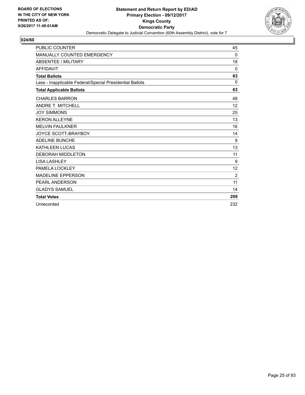

| <b>PUBLIC COUNTER</b>                                    | 45       |
|----------------------------------------------------------|----------|
| <b>MANUALLY COUNTED EMERGENCY</b>                        | $\Omega$ |
| ABSENTEE / MILITARY                                      | 18       |
| <b>AFFIDAVIT</b>                                         | $\Omega$ |
| <b>Total Ballots</b>                                     | 63       |
| Less - Inapplicable Federal/Special Presidential Ballots | $\Omega$ |
| <b>Total Applicable Ballots</b>                          | 63       |
| <b>CHARLES BARRON</b>                                    | 48       |
| <b>ANDRE T. MITCHELL</b>                                 | 12       |
| <b>JOY SIMMONS</b>                                       | 25       |
| <b>KERON ALLEYNE</b>                                     | 13       |
| <b>MELVIN FAULKNER</b>                                   | 16       |
| <b>JOYCE SCOTT-BRAYBOY</b>                               | 14       |
| <b>ADELINE BUNCHE</b>                                    | 9        |
| <b>KATHLEEN LUCAS</b>                                    | 13       |
| <b>DEBORAH MIDDLETON</b>                                 | 11       |
| <b>LISA LASHLEY</b>                                      | 9        |
| PAMELA LOCKLEY                                           | 12       |
| <b>MADELINE EPPERSON</b>                                 | 2        |
| <b>PEARL ANDERSON</b>                                    | 11       |
| <b>GLADYS SAMUEL</b>                                     | 14       |
| <b>Total Votes</b>                                       | 209      |
| Unrecorded                                               | 232      |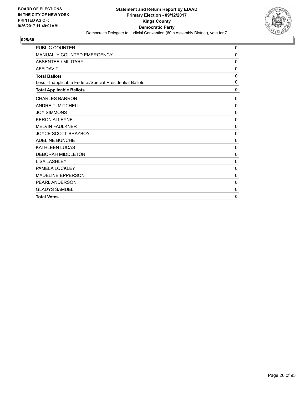

| <b>PUBLIC COUNTER</b>                                    | 0           |
|----------------------------------------------------------|-------------|
| MANUALLY COUNTED EMERGENCY                               | $\mathbf 0$ |
| <b>ABSENTEE / MILITARY</b>                               | 0           |
| <b>AFFIDAVIT</b>                                         | 0           |
| <b>Total Ballots</b>                                     | 0           |
| Less - Inapplicable Federal/Special Presidential Ballots | $\mathbf 0$ |
| <b>Total Applicable Ballots</b>                          | 0           |
| <b>CHARLES BARRON</b>                                    | 0           |
| <b>ANDRE T. MITCHELL</b>                                 | 0           |
| <b>JOY SIMMONS</b>                                       | 0           |
| <b>KERON ALLEYNE</b>                                     | 0           |
| <b>MELVIN FAULKNER</b>                                   | 0           |
| JOYCE SCOTT-BRAYBOY                                      | $\mathbf 0$ |
| <b>ADELINE BUNCHE</b>                                    | 0           |
| <b>KATHLEEN LUCAS</b>                                    | $\mathbf 0$ |
| <b>DEBORAH MIDDLETON</b>                                 | 0           |
| <b>LISA LASHLEY</b>                                      | 0           |
| PAMELA LOCKLEY                                           | $\mathbf 0$ |
| <b>MADELINE EPPERSON</b>                                 | 0           |
| PEARL ANDERSON                                           | 0           |
| <b>GLADYS SAMUEL</b>                                     | 0           |
| <b>Total Votes</b>                                       | 0           |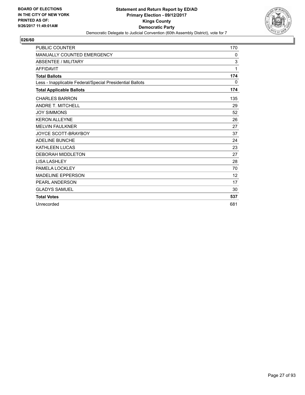

| <b>PUBLIC COUNTER</b>                                    | 170 |
|----------------------------------------------------------|-----|
| <b>MANUALLY COUNTED EMERGENCY</b>                        | 0   |
| <b>ABSENTEE / MILITARY</b>                               | 3   |
| <b>AFFIDAVIT</b>                                         | 1   |
| <b>Total Ballots</b>                                     | 174 |
| Less - Inapplicable Federal/Special Presidential Ballots | 0   |
| <b>Total Applicable Ballots</b>                          | 174 |
| <b>CHARLES BARRON</b>                                    | 135 |
| <b>ANDRE T. MITCHELL</b>                                 | 29  |
| <b>JOY SIMMONS</b>                                       | 52  |
| <b>KERON ALLEYNE</b>                                     | 26  |
| <b>MELVIN FAULKNER</b>                                   | 27  |
| <b>JOYCE SCOTT-BRAYBOY</b>                               | 37  |
| <b>ADELINE BUNCHE</b>                                    | 24  |
| <b>KATHLEEN LUCAS</b>                                    | 23  |
| <b>DEBORAH MIDDLETON</b>                                 | 27  |
| <b>LISA LASHLEY</b>                                      | 28  |
| PAMELA LOCKLEY                                           | 70  |
| <b>MADELINE EPPERSON</b>                                 | 12  |
| PEARL ANDERSON                                           | 17  |
| <b>GLADYS SAMUEL</b>                                     | 30  |
| <b>Total Votes</b>                                       | 537 |
| Unrecorded                                               | 681 |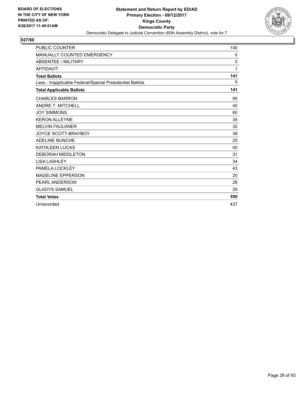

| <b>PUBLIC COUNTER</b>                                    | 140          |
|----------------------------------------------------------|--------------|
| <b>MANUALLY COUNTED EMERGENCY</b>                        | $\mathbf{0}$ |
| ABSENTEE / MILITARY                                      | $\Omega$     |
| <b>AFFIDAVIT</b>                                         | 1            |
| <b>Total Ballots</b>                                     | 141          |
| Less - Inapplicable Federal/Special Presidential Ballots | 0            |
| <b>Total Applicable Ballots</b>                          | 141          |
| <b>CHARLES BARRON</b>                                    | 95           |
| <b>ANDRE T. MITCHELL</b>                                 | 40           |
| <b>JOY SIMMONS</b>                                       | 60           |
| <b>KERON ALLEYNE</b>                                     | 34           |
| <b>MELVIN FAULKNER</b>                                   | 32           |
| JOYCE SCOTT-BRAYBOY                                      | 39           |
| <b>ADELINE BUNCHE</b>                                    | 25           |
| <b>KATHLEEN LUCAS</b>                                    | 40           |
| <b>DEBORAH MIDDLETON</b>                                 | 31           |
| <b>LISA LASHLEY</b>                                      | 34           |
| PAMELA LOCKLEY                                           | 43           |
| <b>MADELINE EPPERSON</b>                                 | 20           |
| <b>PEARL ANDERSON</b>                                    | 28           |
| <b>GLADYS SAMUEL</b>                                     | 29           |
| <b>Total Votes</b>                                       | 550          |
| Unrecorded                                               | 437          |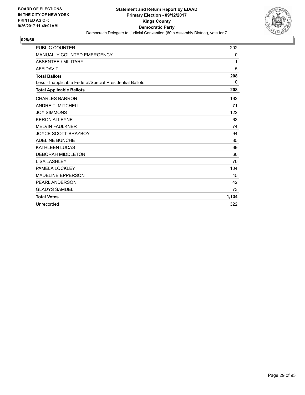

| <b>PUBLIC COUNTER</b>                                    | 202      |
|----------------------------------------------------------|----------|
| <b>MANUALLY COUNTED EMERGENCY</b>                        | 0        |
| <b>ABSENTEE / MILITARY</b>                               | 1        |
| <b>AFFIDAVIT</b>                                         | 5        |
| <b>Total Ballots</b>                                     | 208      |
| Less - Inapplicable Federal/Special Presidential Ballots | $\Omega$ |
| <b>Total Applicable Ballots</b>                          | 208      |
| <b>CHARLES BARRON</b>                                    | 162      |
| <b>ANDRE T. MITCHELL</b>                                 | 71       |
| <b>JOY SIMMONS</b>                                       | 122      |
| <b>KERON ALLEYNE</b>                                     | 63       |
| <b>MELVIN FAULKNER</b>                                   | 74       |
| <b>JOYCE SCOTT-BRAYBOY</b>                               | 94       |
| <b>ADELINE BUNCHE</b>                                    | 85       |
| <b>KATHLEEN LUCAS</b>                                    | 69       |
| <b>DEBORAH MIDDLETON</b>                                 | 60       |
| <b>LISA LASHLEY</b>                                      | 70       |
| PAMELA LOCKLEY                                           | 104      |
| <b>MADELINE EPPERSON</b>                                 | 45       |
| <b>PEARL ANDERSON</b>                                    | 42       |
| <b>GLADYS SAMUEL</b>                                     | 73       |
| <b>Total Votes</b>                                       | 1,134    |
| Unrecorded                                               | 322      |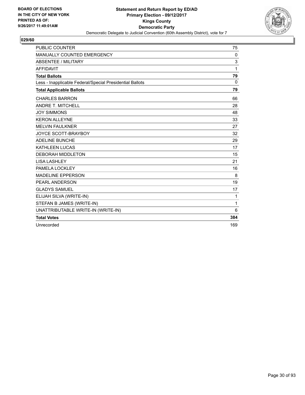

| <b>PUBLIC COUNTER</b>                                    | 75           |
|----------------------------------------------------------|--------------|
| MANUALLY COUNTED EMERGENCY                               | 0            |
| <b>ABSENTEE / MILITARY</b>                               | 3            |
| <b>AFFIDAVIT</b>                                         | 1            |
| <b>Total Ballots</b>                                     | 79           |
| Less - Inapplicable Federal/Special Presidential Ballots | $\Omega$     |
| <b>Total Applicable Ballots</b>                          | 79           |
| <b>CHARLES BARRON</b>                                    | 66           |
| <b>ANDRE T. MITCHELL</b>                                 | 28           |
| <b>JOY SIMMONS</b>                                       | 48           |
| <b>KERON ALLEYNE</b>                                     | 33           |
| <b>MELVIN FAULKNER</b>                                   | 27           |
| JOYCE SCOTT-BRAYBOY                                      | 32           |
| <b>ADELINE BUNCHE</b>                                    | 29           |
| <b>KATHLEEN LUCAS</b>                                    | 17           |
| <b>DEBORAH MIDDLETON</b>                                 | 15           |
| <b>LISA LASHLEY</b>                                      | 21           |
| PAMELA LOCKLEY                                           | 16           |
| <b>MADELINE EPPERSON</b>                                 | 8            |
| PEARL ANDERSON                                           | 19           |
| <b>GLADYS SAMUEL</b>                                     | 17           |
| ELIJAH SILVA (WRITE-IN)                                  | $\mathbf{1}$ |
| STEFAN B JAMES (WRITE-IN)                                | $\mathbf{1}$ |
| UNATTRIBUTABLE WRITE-IN (WRITE-IN)                       | 6            |
| <b>Total Votes</b>                                       | 384          |
| Unrecorded                                               | 169          |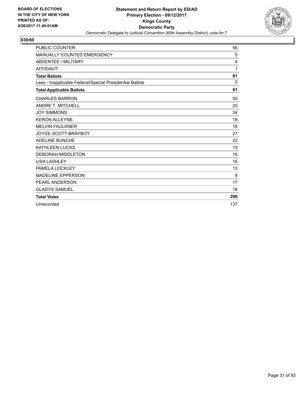

| <b>PUBLIC COUNTER</b>                                    | 56           |
|----------------------------------------------------------|--------------|
| <b>MANUALLY COUNTED EMERGENCY</b>                        | $\mathbf{0}$ |
| ABSENTEE / MILITARY                                      | 4            |
| <b>AFFIDAVIT</b>                                         | 1            |
| <b>Total Ballots</b>                                     | 61           |
| Less - Inapplicable Federal/Special Presidential Ballots | 0            |
| <b>Total Applicable Ballots</b>                          | 61           |
| <b>CHARLES BARRON</b>                                    | 50           |
| <b>ANDRE T. MITCHELL</b>                                 | 20           |
| <b>JOY SIMMONS</b>                                       | 34           |
| <b>KERON ALLEYNE</b>                                     | 18           |
| <b>MELVIN FAULKNER</b>                                   | 18           |
| <b>JOYCE SCOTT-BRAYBOY</b>                               | 27           |
| <b>ADELINE BUNCHE</b>                                    | 20           |
| <b>KATHLEEN LUCAS</b>                                    | 15           |
| <b>DEBORAH MIDDLETON</b>                                 | 16           |
| <b>LISA LASHLEY</b>                                      | 16           |
| PAMELA LOCKLEY                                           | 13           |
| <b>MADELINE EPPERSON</b>                                 | 8            |
| <b>PEARL ANDERSON</b>                                    | 17           |
| <b>GLADYS SAMUEL</b>                                     | 18           |
| <b>Total Votes</b>                                       | 290          |
| Unrecorded                                               | 137          |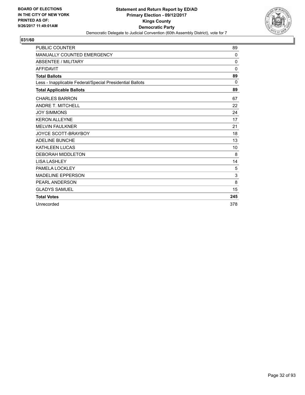

| <b>PUBLIC COUNTER</b>                                    | 89          |
|----------------------------------------------------------|-------------|
| <b>MANUALLY COUNTED EMERGENCY</b>                        | 0           |
| <b>ABSENTEE / MILITARY</b>                               | $\mathbf 0$ |
| <b>AFFIDAVIT</b>                                         | $\Omega$    |
| <b>Total Ballots</b>                                     | 89          |
| Less - Inapplicable Federal/Special Presidential Ballots | 0           |
| <b>Total Applicable Ballots</b>                          | 89          |
| <b>CHARLES BARRON</b>                                    | 67          |
| <b>ANDRE T. MITCHELL</b>                                 | 22          |
| <b>JOY SIMMONS</b>                                       | 24          |
| <b>KERON ALLEYNE</b>                                     | 17          |
| <b>MELVIN FAULKNER</b>                                   | 21          |
| <b>JOYCE SCOTT-BRAYBOY</b>                               | 18          |
| <b>ADELINE BUNCHE</b>                                    | 13          |
| <b>KATHLEEN LUCAS</b>                                    | 10          |
| <b>DEBORAH MIDDLETON</b>                                 | 8           |
| <b>LISA LASHLEY</b>                                      | 14          |
| PAMELA LOCKLEY                                           | 5           |
| <b>MADELINE EPPERSON</b>                                 | 3           |
| PEARL ANDERSON                                           | 8           |
| <b>GLADYS SAMUEL</b>                                     | 15          |
| <b>Total Votes</b>                                       | 245         |
| Unrecorded                                               | 378         |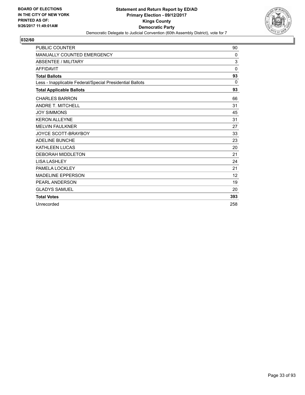

| <b>PUBLIC COUNTER</b>                                    | 90           |
|----------------------------------------------------------|--------------|
| MANUALLY COUNTED EMERGENCY                               | $\mathbf{0}$ |
| ABSENTEE / MILITARY                                      | 3            |
| <b>AFFIDAVIT</b>                                         | $\mathbf{0}$ |
| <b>Total Ballots</b>                                     | 93           |
| Less - Inapplicable Federal/Special Presidential Ballots | $\Omega$     |
| <b>Total Applicable Ballots</b>                          | 93           |
| <b>CHARLES BARRON</b>                                    | 66           |
| <b>ANDRE T. MITCHELL</b>                                 | 31           |
| <b>JOY SIMMONS</b>                                       | 45           |
| <b>KERON ALLEYNE</b>                                     | 31           |
| <b>MELVIN FAULKNER</b>                                   | 27           |
| <b>JOYCE SCOTT-BRAYBOY</b>                               | 33           |
| <b>ADELINE BUNCHE</b>                                    | 23           |
| <b>KATHLEEN LUCAS</b>                                    | 20           |
| <b>DEBORAH MIDDLETON</b>                                 | 21           |
| <b>LISA LASHLEY</b>                                      | 24           |
| PAMELA LOCKLEY                                           | 21           |
| <b>MADELINE EPPERSON</b>                                 | 12           |
| <b>PEARL ANDERSON</b>                                    | 19           |
| <b>GLADYS SAMUEL</b>                                     | 20           |
| <b>Total Votes</b>                                       | 393          |
| Unrecorded                                               | 258          |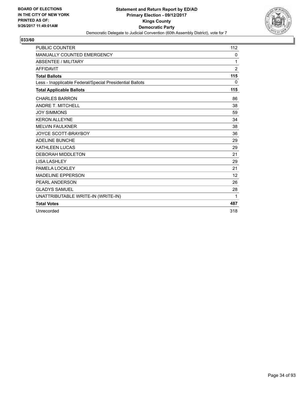

| <b>PUBLIC COUNTER</b>                                    | 112            |
|----------------------------------------------------------|----------------|
| <b>MANUALLY COUNTED EMERGENCY</b>                        | $\mathbf{0}$   |
| <b>ABSENTEE / MILITARY</b>                               | 1              |
| <b>AFFIDAVIT</b>                                         | $\overline{2}$ |
| <b>Total Ballots</b>                                     | 115            |
| Less - Inapplicable Federal/Special Presidential Ballots | 0              |
| <b>Total Applicable Ballots</b>                          | 115            |
| <b>CHARLES BARRON</b>                                    | 86             |
| <b>ANDRE T. MITCHELL</b>                                 | 38             |
| <b>JOY SIMMONS</b>                                       | 59             |
| <b>KERON ALLEYNE</b>                                     | 34             |
| <b>MELVIN FAULKNER</b>                                   | 38             |
| JOYCE SCOTT-BRAYBOY                                      | 36             |
| <b>ADELINE BUNCHE</b>                                    | 29             |
| <b>KATHLEEN LUCAS</b>                                    | 29             |
| <b>DEBORAH MIDDLETON</b>                                 | 21             |
| <b>LISA LASHLEY</b>                                      | 29             |
| PAMELA LOCKLEY                                           | 21             |
| <b>MADELINE EPPERSON</b>                                 | 12             |
| PEARL ANDERSON                                           | 26             |
| <b>GLADYS SAMUEL</b>                                     | 28             |
| UNATTRIBUTABLE WRITE-IN (WRITE-IN)                       | 1              |
| <b>Total Votes</b>                                       | 487            |
| Unrecorded                                               | 318            |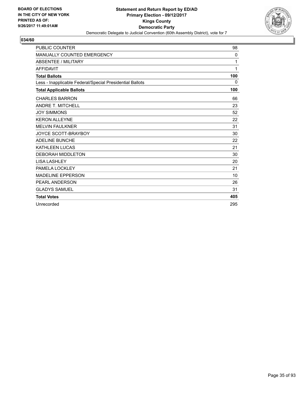

| <b>PUBLIC COUNTER</b>                                    | 98  |
|----------------------------------------------------------|-----|
| MANUALLY COUNTED EMERGENCY                               | 0   |
| <b>ABSENTEE / MILITARY</b>                               | 1   |
| <b>AFFIDAVIT</b>                                         | 1   |
| <b>Total Ballots</b>                                     | 100 |
| Less - Inapplicable Federal/Special Presidential Ballots | 0   |
| <b>Total Applicable Ballots</b>                          | 100 |
| <b>CHARLES BARRON</b>                                    | 66  |
| <b>ANDRE T. MITCHELL</b>                                 | 23  |
| <b>JOY SIMMONS</b>                                       | 52  |
| <b>KERON ALLEYNE</b>                                     | 22  |
| <b>MELVIN FAULKNER</b>                                   | 31  |
| <b>JOYCE SCOTT-BRAYBOY</b>                               | 30  |
| <b>ADELINE BUNCHE</b>                                    | 22  |
| <b>KATHLEEN LUCAS</b>                                    | 21  |
| <b>DEBORAH MIDDLETON</b>                                 | 30  |
| <b>LISA LASHLEY</b>                                      | 20  |
| PAMELA LOCKLEY                                           | 21  |
| <b>MADELINE EPPERSON</b>                                 | 10  |
| <b>PEARL ANDERSON</b>                                    | 26  |
| <b>GLADYS SAMUEL</b>                                     | 31  |
| <b>Total Votes</b>                                       | 405 |
| Unrecorded                                               | 295 |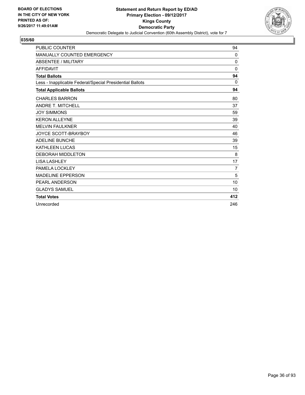

| <b>PUBLIC COUNTER</b>                                    | 94          |
|----------------------------------------------------------|-------------|
| MANUALLY COUNTED EMERGENCY                               | 0           |
| ABSENTEE / MILITARY                                      | $\mathbf 0$ |
| <b>AFFIDAVIT</b>                                         | $\Omega$    |
| <b>Total Ballots</b>                                     | 94          |
| Less - Inapplicable Federal/Special Presidential Ballots | $\Omega$    |
| <b>Total Applicable Ballots</b>                          | 94          |
| <b>CHARLES BARRON</b>                                    | 80          |
| <b>ANDRE T. MITCHELL</b>                                 | 37          |
| <b>JOY SIMMONS</b>                                       | 59          |
| <b>KERON ALLEYNE</b>                                     | 39          |
| <b>MELVIN FAULKNER</b>                                   | 40          |
| <b>JOYCE SCOTT-BRAYBOY</b>                               | 46          |
| <b>ADELINE BUNCHE</b>                                    | 39          |
| <b>KATHLEEN LUCAS</b>                                    | 15          |
| <b>DEBORAH MIDDLETON</b>                                 | 8           |
| <b>LISA LASHLEY</b>                                      | 17          |
| PAMELA LOCKLEY                                           | 7           |
| <b>MADELINE EPPERSON</b>                                 | 5           |
| <b>PEARL ANDERSON</b>                                    | 10          |
| <b>GLADYS SAMUEL</b>                                     | 10          |
| <b>Total Votes</b>                                       | 412         |
| Unrecorded                                               | 246         |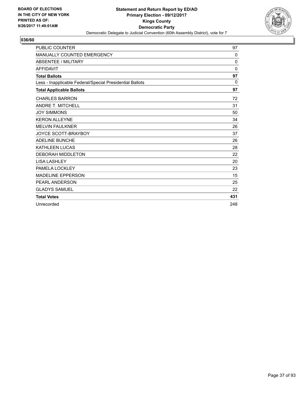

| <b>PUBLIC COUNTER</b>                                    | 97           |
|----------------------------------------------------------|--------------|
| <b>MANUALLY COUNTED EMERGENCY</b>                        | $\mathbf{0}$ |
| <b>ABSENTEE / MILITARY</b>                               | 0            |
| <b>AFFIDAVIT</b>                                         | $\Omega$     |
| <b>Total Ballots</b>                                     | 97           |
| Less - Inapplicable Federal/Special Presidential Ballots | $\Omega$     |
| <b>Total Applicable Ballots</b>                          | 97           |
| <b>CHARLES BARRON</b>                                    | 72           |
| <b>ANDRE T. MITCHELL</b>                                 | 31           |
| <b>JOY SIMMONS</b>                                       | 50           |
| <b>KERON ALLEYNE</b>                                     | 34           |
| <b>MELVIN FAULKNER</b>                                   | 26           |
| <b>JOYCE SCOTT-BRAYBOY</b>                               | 37           |
| <b>ADELINE BUNCHE</b>                                    | 26           |
| <b>KATHLEEN LUCAS</b>                                    | 28           |
| <b>DEBORAH MIDDLETON</b>                                 | 22           |
| <b>LISA LASHLEY</b>                                      | 20           |
| PAMELA LOCKLEY                                           | 23           |
| <b>MADELINE EPPERSON</b>                                 | 15           |
| <b>PEARL ANDERSON</b>                                    | 25           |
| <b>GLADYS SAMUEL</b>                                     | 22           |
| <b>Total Votes</b>                                       | 431          |
| Unrecorded                                               | 248          |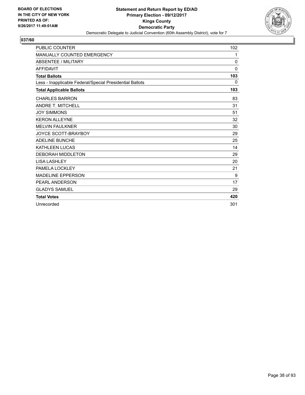

| <b>PUBLIC COUNTER</b>                                    | 102          |
|----------------------------------------------------------|--------------|
| <b>MANUALLY COUNTED EMERGENCY</b>                        | $\mathbf{1}$ |
| <b>ABSENTEE / MILITARY</b>                               | $\mathbf{0}$ |
| <b>AFFIDAVIT</b>                                         | $\mathbf{0}$ |
| <b>Total Ballots</b>                                     | 103          |
| Less - Inapplicable Federal/Special Presidential Ballots | 0            |
| <b>Total Applicable Ballots</b>                          | 103          |
| <b>CHARLES BARRON</b>                                    | 83           |
| <b>ANDRE T. MITCHELL</b>                                 | 31           |
| <b>JOY SIMMONS</b>                                       | 51           |
| <b>KERON ALLEYNE</b>                                     | 32           |
| <b>MELVIN FAULKNER</b>                                   | 30           |
| <b>JOYCE SCOTT-BRAYBOY</b>                               | 29           |
| <b>ADELINE BUNCHE</b>                                    | 25           |
| <b>KATHLEEN LUCAS</b>                                    | 14           |
| <b>DEBORAH MIDDLETON</b>                                 | 29           |
| <b>LISA LASHLEY</b>                                      | 20           |
| PAMELA LOCKLEY                                           | 21           |
| <b>MADELINE EPPERSON</b>                                 | 9            |
| PEARL ANDERSON                                           | 17           |
| <b>GLADYS SAMUEL</b>                                     | 29           |
| <b>Total Votes</b>                                       | 420          |
| Unrecorded                                               | 301          |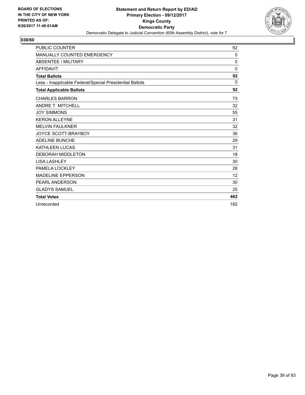

| <b>PUBLIC COUNTER</b>                                    | 92           |
|----------------------------------------------------------|--------------|
| <b>MANUALLY COUNTED EMERGENCY</b>                        | $\mathbf{0}$ |
| <b>ABSENTEE / MILITARY</b>                               | 0            |
| <b>AFFIDAVIT</b>                                         | $\Omega$     |
| <b>Total Ballots</b>                                     | 92           |
| Less - Inapplicable Federal/Special Presidential Ballots | $\Omega$     |
| <b>Total Applicable Ballots</b>                          | 92           |
| <b>CHARLES BARRON</b>                                    | 73           |
| <b>ANDRE T. MITCHELL</b>                                 | 32           |
| <b>JOY SIMMONS</b>                                       | 55           |
| <b>KERON ALLEYNE</b>                                     | 31           |
| <b>MELVIN FAULKNER</b>                                   | 32           |
| <b>JOYCE SCOTT-BRAYBOY</b>                               | 36           |
| <b>ADELINE BUNCHE</b>                                    | 29           |
| <b>KATHLEEN LUCAS</b>                                    | 31           |
| <b>DEBORAH MIDDLETON</b>                                 | 18           |
| <b>LISA LASHLEY</b>                                      | 30           |
| PAMELA LOCKLEY                                           | 28           |
| <b>MADELINE EPPERSON</b>                                 | 12           |
| <b>PEARL ANDERSON</b>                                    | 30           |
| <b>GLADYS SAMUEL</b>                                     | 25           |
| <b>Total Votes</b>                                       | 462          |
| Unrecorded                                               | 182          |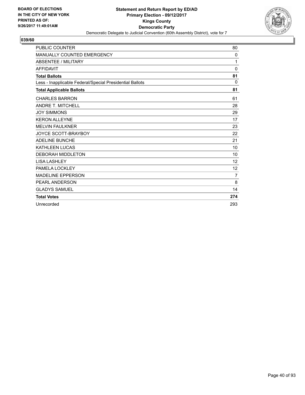

| <b>PUBLIC COUNTER</b>                                    | 80                |
|----------------------------------------------------------|-------------------|
| <b>MANUALLY COUNTED EMERGENCY</b>                        | $\mathbf 0$       |
| <b>ABSENTEE / MILITARY</b>                               | 1                 |
| <b>AFFIDAVIT</b>                                         | $\Omega$          |
| <b>Total Ballots</b>                                     | 81                |
| Less - Inapplicable Federal/Special Presidential Ballots | $\Omega$          |
| <b>Total Applicable Ballots</b>                          | 81                |
| <b>CHARLES BARRON</b>                                    | 61                |
| <b>ANDRE T. MITCHELL</b>                                 | 28                |
| <b>JOY SIMMONS</b>                                       | 29                |
| <b>KERON ALLEYNE</b>                                     | 17                |
| <b>MELVIN FAULKNER</b>                                   | 23                |
| <b>JOYCE SCOTT-BRAYBOY</b>                               | 22                |
| <b>ADELINE BUNCHE</b>                                    | 21                |
| <b>KATHLEEN LUCAS</b>                                    | 10                |
| <b>DEBORAH MIDDLETON</b>                                 | 10                |
| <b>LISA LASHLEY</b>                                      | 12                |
| PAMELA LOCKLEY                                           | $12 \overline{ }$ |
| <b>MADELINE EPPERSON</b>                                 | $\overline{7}$    |
| <b>PEARL ANDERSON</b>                                    | 8                 |
| <b>GLADYS SAMUEL</b>                                     | 14                |
| <b>Total Votes</b>                                       | 274               |
| Unrecorded                                               | 293               |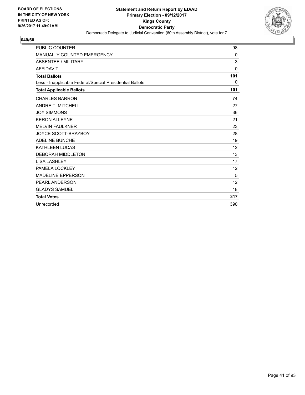

| <b>PUBLIC COUNTER</b>                                    | 98           |
|----------------------------------------------------------|--------------|
| <b>MANUALLY COUNTED EMERGENCY</b>                        | $\mathbf{0}$ |
| <b>ABSENTEE / MILITARY</b>                               | 3            |
| <b>AFFIDAVIT</b>                                         | $\Omega$     |
| <b>Total Ballots</b>                                     | 101          |
| Less - Inapplicable Federal/Special Presidential Ballots | 0            |
| <b>Total Applicable Ballots</b>                          | 101          |
| <b>CHARLES BARRON</b>                                    | 74           |
| <b>ANDRE T. MITCHELL</b>                                 | 27           |
| <b>JOY SIMMONS</b>                                       | 36           |
| <b>KERON ALLEYNE</b>                                     | 21           |
| <b>MELVIN FAULKNER</b>                                   | 23           |
| <b>JOYCE SCOTT-BRAYBOY</b>                               | 28           |
| <b>ADELINE BUNCHE</b>                                    | 19           |
| <b>KATHLEEN LUCAS</b>                                    | 12           |
| <b>DEBORAH MIDDLETON</b>                                 | 13           |
| <b>LISA LASHLEY</b>                                      | 17           |
| PAMELA LOCKLEY                                           | 12           |
| <b>MADELINE EPPERSON</b>                                 | 5            |
| <b>PEARL ANDERSON</b>                                    | 12           |
| <b>GLADYS SAMUEL</b>                                     | 18           |
| <b>Total Votes</b>                                       | 317          |
| Unrecorded                                               | 390          |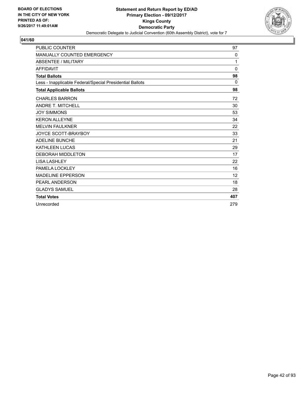

| <b>PUBLIC COUNTER</b>                                    | 97       |
|----------------------------------------------------------|----------|
| MANUALLY COUNTED EMERGENCY                               | 0        |
| <b>ABSENTEE / MILITARY</b>                               | 1        |
| <b>AFFIDAVIT</b>                                         | 0        |
| <b>Total Ballots</b>                                     | 98       |
| Less - Inapplicable Federal/Special Presidential Ballots | $\Omega$ |
| <b>Total Applicable Ballots</b>                          | 98       |
| <b>CHARLES BARRON</b>                                    | 72       |
| <b>ANDRE T. MITCHELL</b>                                 | 30       |
| <b>JOY SIMMONS</b>                                       | 53       |
| <b>KERON ALLEYNE</b>                                     | 34       |
| <b>MELVIN FAULKNER</b>                                   | 22       |
| <b>JOYCE SCOTT-BRAYBOY</b>                               | 33       |
| <b>ADELINE BUNCHE</b>                                    | 21       |
| <b>KATHLEEN LUCAS</b>                                    | 29       |
| <b>DEBORAH MIDDLETON</b>                                 | 17       |
| <b>LISA LASHLEY</b>                                      | 22       |
| PAMELA LOCKLEY                                           | 16       |
| <b>MADELINE EPPERSON</b>                                 | 12       |
| <b>PEARL ANDERSON</b>                                    | 18       |
| <b>GLADYS SAMUEL</b>                                     | 28       |
| <b>Total Votes</b>                                       | 407      |
| Unrecorded                                               | 279      |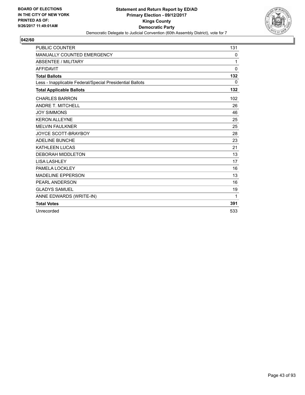

| <b>PUBLIC COUNTER</b>                                    | 131          |
|----------------------------------------------------------|--------------|
| MANUALLY COUNTED EMERGENCY                               | 0            |
| <b>ABSENTEE / MILITARY</b>                               | 1            |
| <b>AFFIDAVIT</b>                                         | $\mathbf{0}$ |
| <b>Total Ballots</b>                                     | 132          |
| Less - Inapplicable Federal/Special Presidential Ballots | $\Omega$     |
| <b>Total Applicable Ballots</b>                          | 132          |
| <b>CHARLES BARRON</b>                                    | 102          |
| <b>ANDRE T. MITCHELL</b>                                 | 26           |
| <b>JOY SIMMONS</b>                                       | 46           |
| <b>KERON ALLEYNE</b>                                     | 25           |
| <b>MELVIN FAULKNER</b>                                   | 25           |
| <b>JOYCE SCOTT-BRAYBOY</b>                               | 28           |
| <b>ADELINE BUNCHE</b>                                    | 23           |
| <b>KATHLEEN LUCAS</b>                                    | 21           |
| <b>DEBORAH MIDDLETON</b>                                 | 13           |
| <b>LISA LASHLEY</b>                                      | 17           |
| PAMELA LOCKLEY                                           | 16           |
| <b>MADELINE EPPERSON</b>                                 | 13           |
| PEARL ANDERSON                                           | 16           |
| <b>GLADYS SAMUEL</b>                                     | 19           |
| ANNE EDWARDS (WRITE-IN)                                  | 1            |
| <b>Total Votes</b>                                       | 391          |
| Unrecorded                                               | 533          |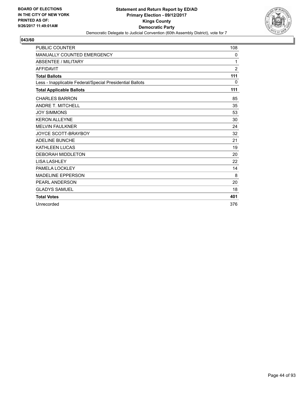

| <b>PUBLIC COUNTER</b>                                    | 108 |
|----------------------------------------------------------|-----|
| <b>MANUALLY COUNTED EMERGENCY</b>                        | 0   |
| <b>ABSENTEE / MILITARY</b>                               | 1   |
| <b>AFFIDAVIT</b>                                         | 2   |
| <b>Total Ballots</b>                                     | 111 |
| Less - Inapplicable Federal/Special Presidential Ballots | 0   |
| <b>Total Applicable Ballots</b>                          | 111 |
| <b>CHARLES BARRON</b>                                    | 85  |
| <b>ANDRE T. MITCHELL</b>                                 | 35  |
| <b>JOY SIMMONS</b>                                       | 53  |
| <b>KERON ALLEYNE</b>                                     | 30  |
| <b>MELVIN FAULKNER</b>                                   | 24  |
| <b>JOYCE SCOTT-BRAYBOY</b>                               | 32  |
| <b>ADELINE BUNCHE</b>                                    | 21  |
| <b>KATHLEEN LUCAS</b>                                    | 19  |
| <b>DEBORAH MIDDLETON</b>                                 | 20  |
| <b>LISA LASHLEY</b>                                      | 22  |
| PAMELA LOCKLEY                                           | 14  |
| <b>MADELINE EPPERSON</b>                                 | 8   |
| PEARL ANDERSON                                           | 20  |
| <b>GLADYS SAMUEL</b>                                     | 18  |
| <b>Total Votes</b>                                       | 401 |
| Unrecorded                                               | 376 |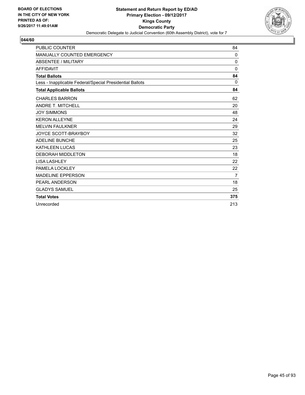

| <b>PUBLIC COUNTER</b>                                    | 84           |
|----------------------------------------------------------|--------------|
| MANUALLY COUNTED EMERGENCY                               | 0            |
| <b>ABSENTEE / MILITARY</b>                               | 0            |
| <b>AFFIDAVIT</b>                                         | $\mathbf{0}$ |
| <b>Total Ballots</b>                                     | 84           |
| Less - Inapplicable Federal/Special Presidential Ballots | 0            |
| <b>Total Applicable Ballots</b>                          | 84           |
| <b>CHARLES BARRON</b>                                    | 62           |
| <b>ANDRE T. MITCHELL</b>                                 | 20           |
| <b>JOY SIMMONS</b>                                       | 48           |
| <b>KERON ALLEYNE</b>                                     | 24           |
| <b>MELVIN FAULKNER</b>                                   | 29           |
| JOYCE SCOTT-BRAYBOY                                      | 32           |
| <b>ADELINE BUNCHE</b>                                    | 25           |
| <b>KATHLEEN LUCAS</b>                                    | 23           |
| <b>DEBORAH MIDDLETON</b>                                 | 18           |
| <b>LISA LASHLEY</b>                                      | 22           |
| PAMELA LOCKLEY                                           | 22           |
| <b>MADELINE EPPERSON</b>                                 | 7            |
| PEARL ANDERSON                                           | 18           |
| <b>GLADYS SAMUEL</b>                                     | 25           |
| <b>Total Votes</b>                                       | 375          |
| Unrecorded                                               | 213          |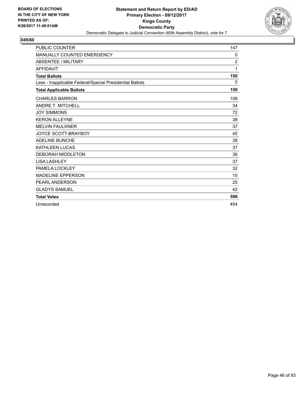

| <b>PUBLIC COUNTER</b>                                    | 147            |
|----------------------------------------------------------|----------------|
| <b>MANUALLY COUNTED EMERGENCY</b>                        | 0              |
| <b>ABSENTEE / MILITARY</b>                               | $\overline{2}$ |
| <b>AFFIDAVIT</b>                                         | 1              |
| <b>Total Ballots</b>                                     | 150            |
| Less - Inapplicable Federal/Special Presidential Ballots | 0              |
| <b>Total Applicable Ballots</b>                          | 150            |
| <b>CHARLES BARRON</b>                                    | 108            |
| <b>ANDRE T. MITCHELL</b>                                 | 34             |
| <b>JOY SIMMONS</b>                                       | 72             |
| <b>KERON ALLEYNE</b>                                     | 38             |
| <b>MELVIN FAULKNER</b>                                   | 37             |
| <b>JOYCE SCOTT-BRAYBOY</b>                               | 45             |
| <b>ADELINE BUNCHE</b>                                    | 38             |
| <b>KATHLEEN LUCAS</b>                                    | 37             |
| <b>DEBORAH MIDDLETON</b>                                 | 36             |
| <b>LISA LASHLEY</b>                                      | 37             |
| PAMELA LOCKLEY                                           | 32             |
| <b>MADELINE EPPERSON</b>                                 | 15             |
| PEARL ANDERSON                                           | 25             |
| <b>GLADYS SAMUEL</b>                                     | 42             |
| <b>Total Votes</b>                                       | 596            |
| Unrecorded                                               | 454            |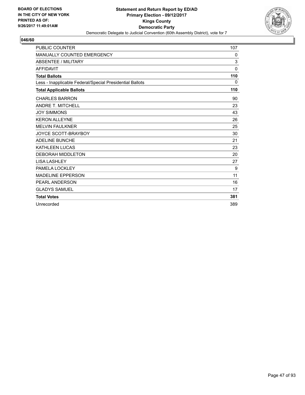

| <b>PUBLIC COUNTER</b>                                    | 107          |
|----------------------------------------------------------|--------------|
| <b>MANUALLY COUNTED EMERGENCY</b>                        | 0            |
| <b>ABSENTEE / MILITARY</b>                               | 3            |
| <b>AFFIDAVIT</b>                                         | $\mathbf{0}$ |
| <b>Total Ballots</b>                                     | 110          |
| Less - Inapplicable Federal/Special Presidential Ballots | 0            |
| <b>Total Applicable Ballots</b>                          | 110          |
| <b>CHARLES BARRON</b>                                    | 90           |
| <b>ANDRE T. MITCHELL</b>                                 | 23           |
| <b>JOY SIMMONS</b>                                       | 43           |
| <b>KERON ALLEYNE</b>                                     | 26           |
| <b>MELVIN FAULKNER</b>                                   | 25           |
| <b>JOYCE SCOTT-BRAYBOY</b>                               | 30           |
| <b>ADELINE BUNCHE</b>                                    | 21           |
| <b>KATHLEEN LUCAS</b>                                    | 23           |
| <b>DEBORAH MIDDLETON</b>                                 | 20           |
| <b>LISA LASHLEY</b>                                      | 27           |
| PAMELA LOCKLEY                                           | 9            |
| <b>MADELINE EPPERSON</b>                                 | 11           |
| PEARL ANDERSON                                           | 16           |
| <b>GLADYS SAMUEL</b>                                     | 17           |
| <b>Total Votes</b>                                       | 381          |
| Unrecorded                                               | 389          |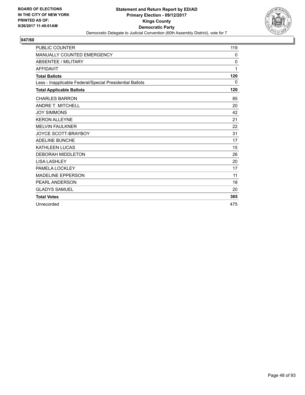

| <b>PUBLIC COUNTER</b>                                    | 119          |
|----------------------------------------------------------|--------------|
| <b>MANUALLY COUNTED EMERGENCY</b>                        | 0            |
| <b>ABSENTEE / MILITARY</b>                               | $\mathbf{0}$ |
| <b>AFFIDAVIT</b>                                         | 1            |
| <b>Total Ballots</b>                                     | 120          |
| Less - Inapplicable Federal/Special Presidential Ballots | 0            |
| <b>Total Applicable Ballots</b>                          | 120          |
| <b>CHARLES BARRON</b>                                    | 85           |
| <b>ANDRE T. MITCHELL</b>                                 | 20           |
| <b>JOY SIMMONS</b>                                       | 42           |
| <b>KERON ALLEYNE</b>                                     | 21           |
| <b>MELVIN FAULKNER</b>                                   | 22           |
| <b>JOYCE SCOTT-BRAYBOY</b>                               | 31           |
| <b>ADELINE BUNCHE</b>                                    | 17           |
| <b>KATHLEEN LUCAS</b>                                    | 15           |
| <b>DEBORAH MIDDLETON</b>                                 | 26           |
| <b>LISA LASHLEY</b>                                      | 20           |
| PAMELA LOCKLEY                                           | 17           |
| <b>MADELINE EPPERSON</b>                                 | 11           |
| PEARL ANDERSON                                           | 18           |
| <b>GLADYS SAMUEL</b>                                     | 20           |
| <b>Total Votes</b>                                       | 365          |
| Unrecorded                                               | 475          |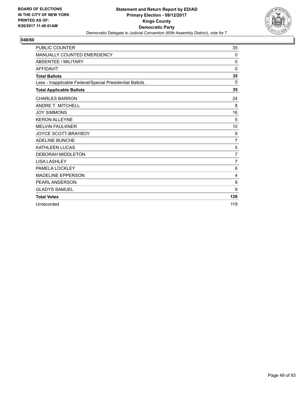

| <b>PUBLIC COUNTER</b>                                    | 35             |
|----------------------------------------------------------|----------------|
| MANUALLY COUNTED EMERGENCY                               | 0              |
| <b>ABSENTEE / MILITARY</b>                               | $\mathbf{0}$   |
| <b>AFFIDAVIT</b>                                         | $\mathbf{0}$   |
| <b>Total Ballots</b>                                     | 35             |
| Less - Inapplicable Federal/Special Presidential Ballots | $\Omega$       |
| <b>Total Applicable Ballots</b>                          | 35             |
| <b>CHARLES BARRON</b>                                    | 24             |
| <b>ANDRE T. MITCHELL</b>                                 | 8              |
| <b>JOY SIMMONS</b>                                       | 16             |
| <b>KERON ALLEYNE</b>                                     | 5              |
| <b>MELVIN FAULKNER</b>                                   | 10             |
| <b>JOYCE SCOTT-BRAYBOY</b>                               | 9              |
| <b>ADELINE BUNCHE</b>                                    | $\overline{7}$ |
| <b>KATHLEEN LUCAS</b>                                    | 5              |
| <b>DEBORAH MIDDLETON</b>                                 | $\overline{7}$ |
| <b>LISA LASHLEY</b>                                      | $\overline{7}$ |
| PAMELA LOCKLEY                                           | 6              |
| <b>MADELINE EPPERSON</b>                                 | 4              |
| PEARL ANDERSON                                           | 9              |
| <b>GLADYS SAMUEL</b>                                     | 9              |
| <b>Total Votes</b>                                       | 126            |
| Unrecorded                                               | 119            |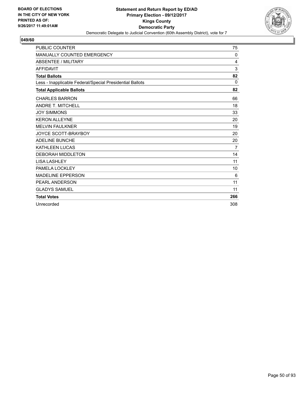

| <b>PUBLIC COUNTER</b>                                    | 75          |
|----------------------------------------------------------|-------------|
| <b>MANUALLY COUNTED EMERGENCY</b>                        | $\mathbf 0$ |
| <b>ABSENTEE / MILITARY</b>                               | 4           |
| <b>AFFIDAVIT</b>                                         | 3           |
| <b>Total Ballots</b>                                     | 82          |
| Less - Inapplicable Federal/Special Presidential Ballots | 0           |
| <b>Total Applicable Ballots</b>                          | 82          |
| <b>CHARLES BARRON</b>                                    | 66          |
| <b>ANDRE T. MITCHELL</b>                                 | 18          |
| <b>JOY SIMMONS</b>                                       | 33          |
| <b>KERON ALLEYNE</b>                                     | 20          |
| <b>MELVIN FAULKNER</b>                                   | 19          |
| <b>JOYCE SCOTT-BRAYBOY</b>                               | 20          |
| <b>ADELINE BUNCHE</b>                                    | 20          |
| <b>KATHLEEN LUCAS</b>                                    | 7           |
| <b>DEBORAH MIDDLETON</b>                                 | 14          |
| <b>LISA LASHLEY</b>                                      | 11          |
| PAMELA LOCKLEY                                           | 10          |
| <b>MADELINE EPPERSON</b>                                 | 6           |
| PEARL ANDERSON                                           | 11          |
| <b>GLADYS SAMUEL</b>                                     | 11          |
| <b>Total Votes</b>                                       | 266         |
| Unrecorded                                               | 308         |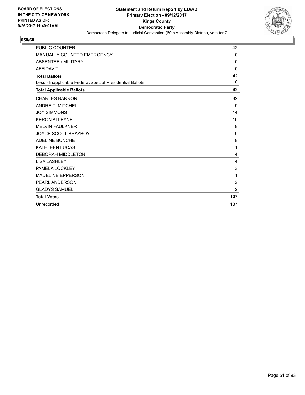

| <b>PUBLIC COUNTER</b>                                    | 42             |
|----------------------------------------------------------|----------------|
| <b>MANUALLY COUNTED EMERGENCY</b>                        | $\mathbf 0$    |
| <b>ABSENTEE / MILITARY</b>                               | 0              |
| <b>AFFIDAVIT</b>                                         | $\Omega$       |
| <b>Total Ballots</b>                                     | 42             |
| Less - Inapplicable Federal/Special Presidential Ballots | $\Omega$       |
| <b>Total Applicable Ballots</b>                          | 42             |
| <b>CHARLES BARRON</b>                                    | 32             |
| <b>ANDRE T. MITCHELL</b>                                 | 9              |
| <b>JOY SIMMONS</b>                                       | 14             |
| <b>KERON ALLEYNE</b>                                     | 10             |
| <b>MELVIN FAULKNER</b>                                   | 8              |
| <b>JOYCE SCOTT-BRAYBOY</b>                               | 9              |
| <b>ADELINE BUNCHE</b>                                    | 8              |
| <b>KATHLEEN LUCAS</b>                                    | 1              |
| <b>DEBORAH MIDDLETON</b>                                 | 4              |
| <b>LISA LASHLEY</b>                                      | 4              |
| PAMELA LOCKLEY                                           | 3              |
| <b>MADELINE EPPERSON</b>                                 | 1              |
| PEARL ANDERSON                                           | $\overline{2}$ |
| <b>GLADYS SAMUEL</b>                                     | $\overline{2}$ |
| <b>Total Votes</b>                                       | 107            |
| Unrecorded                                               | 187            |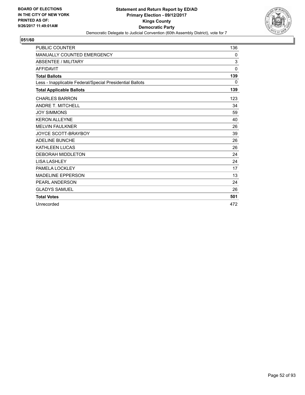

| <b>PUBLIC COUNTER</b>                                    | 136          |
|----------------------------------------------------------|--------------|
| <b>MANUALLY COUNTED EMERGENCY</b>                        | 0            |
| <b>ABSENTEE / MILITARY</b>                               | 3            |
| <b>AFFIDAVIT</b>                                         | $\mathbf{0}$ |
| <b>Total Ballots</b>                                     | 139          |
| Less - Inapplicable Federal/Special Presidential Ballots | 0            |
| <b>Total Applicable Ballots</b>                          | 139          |
| <b>CHARLES BARRON</b>                                    | 123          |
| ANDRE T. MITCHELL                                        | 34           |
| <b>JOY SIMMONS</b>                                       | 59           |
| <b>KERON ALLEYNE</b>                                     | 40           |
| <b>MELVIN FAULKNER</b>                                   | 26           |
| <b>JOYCE SCOTT-BRAYBOY</b>                               | 39           |
| <b>ADELINE BUNCHE</b>                                    | 26           |
| <b>KATHLEEN LUCAS</b>                                    | 26           |
| <b>DEBORAH MIDDLETON</b>                                 | 24           |
| <b>LISA LASHLEY</b>                                      | 24           |
| PAMELA LOCKLEY                                           | 17           |
| <b>MADELINE EPPERSON</b>                                 | 13           |
| PEARL ANDERSON                                           | 24           |
| <b>GLADYS SAMUEL</b>                                     | 26           |
| <b>Total Votes</b>                                       | 501          |
| Unrecorded                                               | 472          |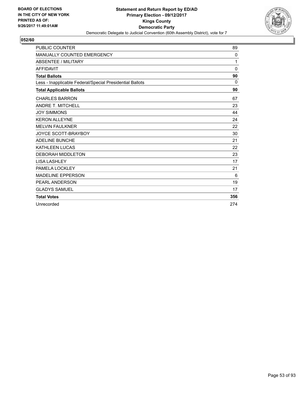

| <b>PUBLIC COUNTER</b>                                    | 89           |
|----------------------------------------------------------|--------------|
| MANUALLY COUNTED EMERGENCY                               | 0            |
| <b>ABSENTEE / MILITARY</b>                               | 1            |
| <b>AFFIDAVIT</b>                                         | $\mathbf{0}$ |
| <b>Total Ballots</b>                                     | 90           |
| Less - Inapplicable Federal/Special Presidential Ballots | 0            |
| <b>Total Applicable Ballots</b>                          | 90           |
| <b>CHARLES BARRON</b>                                    | 67           |
| <b>ANDRE T. MITCHELL</b>                                 | 23           |
| <b>JOY SIMMONS</b>                                       | 44           |
| <b>KERON ALLEYNE</b>                                     | 24           |
| <b>MELVIN FAULKNER</b>                                   | 22           |
| JOYCE SCOTT-BRAYBOY                                      | 30           |
| <b>ADELINE BUNCHE</b>                                    | 21           |
| <b>KATHLEEN LUCAS</b>                                    | 22           |
| <b>DEBORAH MIDDLETON</b>                                 | 23           |
| <b>LISA LASHLEY</b>                                      | 17           |
| PAMELA LOCKLEY                                           | 21           |
| <b>MADELINE EPPERSON</b>                                 | 6            |
| PEARL ANDERSON                                           | 19           |
| <b>GLADYS SAMUEL</b>                                     | 17           |
| <b>Total Votes</b>                                       | 356          |
| Unrecorded                                               | 274          |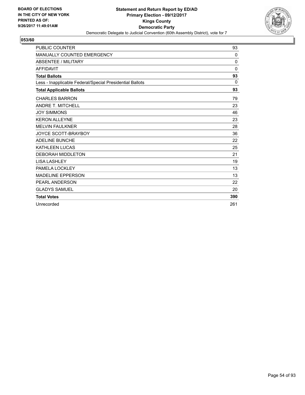

| <b>PUBLIC COUNTER</b>                                    | 93           |
|----------------------------------------------------------|--------------|
| MANUALLY COUNTED EMERGENCY                               | 0            |
| <b>ABSENTEE / MILITARY</b>                               | 0            |
| <b>AFFIDAVIT</b>                                         | $\mathbf{0}$ |
| <b>Total Ballots</b>                                     | 93           |
| Less - Inapplicable Federal/Special Presidential Ballots | 0            |
| <b>Total Applicable Ballots</b>                          | 93           |
| <b>CHARLES BARRON</b>                                    | 79           |
| <b>ANDRE T. MITCHELL</b>                                 | 23           |
| <b>JOY SIMMONS</b>                                       | 46           |
| <b>KERON ALLEYNE</b>                                     | 23           |
| <b>MELVIN FAULKNER</b>                                   | 28           |
| JOYCE SCOTT-BRAYBOY                                      | 36           |
| <b>ADELINE BUNCHE</b>                                    | 22           |
| <b>KATHLEEN LUCAS</b>                                    | 25           |
| <b>DEBORAH MIDDLETON</b>                                 | 21           |
| <b>LISA LASHLEY</b>                                      | 19           |
| PAMELA LOCKLEY                                           | 13           |
| <b>MADELINE EPPERSON</b>                                 | 13           |
| PEARL ANDERSON                                           | 22           |
| <b>GLADYS SAMUEL</b>                                     | 20           |
| <b>Total Votes</b>                                       | 390          |
| Unrecorded                                               | 261          |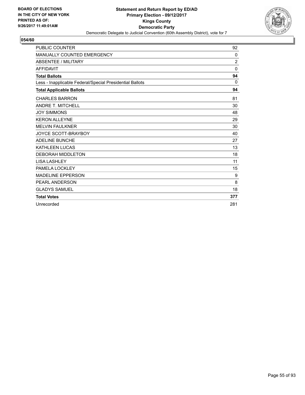

| <b>PUBLIC COUNTER</b>                                    | 92             |
|----------------------------------------------------------|----------------|
| MANUALLY COUNTED EMERGENCY                               | 0              |
| <b>ABSENTEE / MILITARY</b>                               | $\overline{2}$ |
| <b>AFFIDAVIT</b>                                         | $\mathbf{0}$   |
| <b>Total Ballots</b>                                     | 94             |
| Less - Inapplicable Federal/Special Presidential Ballots | $\Omega$       |
| <b>Total Applicable Ballots</b>                          | 94             |
| <b>CHARLES BARRON</b>                                    | 81             |
| <b>ANDRE T. MITCHELL</b>                                 | 30             |
| <b>JOY SIMMONS</b>                                       | 48             |
| <b>KERON ALLEYNE</b>                                     | 29             |
| <b>MELVIN FAULKNER</b>                                   | 30             |
| JOYCE SCOTT-BRAYBOY                                      | 40             |
| <b>ADELINE BUNCHE</b>                                    | 27             |
| <b>KATHLEEN LUCAS</b>                                    | 13             |
| <b>DEBORAH MIDDLETON</b>                                 | 18             |
| <b>LISA LASHLEY</b>                                      | 11             |
| PAMELA LOCKLEY                                           | 15             |
| <b>MADELINE EPPERSON</b>                                 | 9              |
| PEARL ANDERSON                                           | 8              |
| <b>GLADYS SAMUEL</b>                                     | 18             |
| <b>Total Votes</b>                                       | 377            |
| Unrecorded                                               | 281            |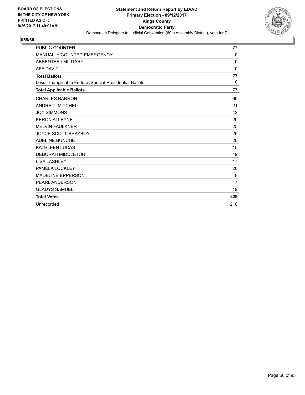

| <b>PUBLIC COUNTER</b>                                    | 77           |
|----------------------------------------------------------|--------------|
| <b>MANUALLY COUNTED EMERGENCY</b>                        | 0            |
| <b>ABSENTEE / MILITARY</b>                               | $\mathbf{0}$ |
| <b>AFFIDAVIT</b>                                         | $\Omega$     |
| <b>Total Ballots</b>                                     | 77           |
| Less - Inapplicable Federal/Special Presidential Ballots | 0            |
| <b>Total Applicable Ballots</b>                          | 77           |
| <b>CHARLES BARRON</b>                                    | 60           |
| <b>ANDRE T. MITCHELL</b>                                 | 21           |
| <b>JOY SIMMONS</b>                                       | 42           |
| <b>KERON ALLEYNE</b>                                     | 20           |
| <b>MELVIN FAULKNER</b>                                   | 25           |
| <b>JOYCE SCOTT-BRAYBOY</b>                               | 26           |
| <b>ADELINE BUNCHE</b>                                    | 20           |
| <b>KATHLEEN LUCAS</b>                                    | 15           |
| <b>DEBORAH MIDDLETON</b>                                 | 19           |
| <b>LISA LASHLEY</b>                                      | 17           |
| PAMELA LOCKLEY                                           | 20           |
| <b>MADELINE EPPERSON</b>                                 | 8            |
| <b>PEARL ANDERSON</b>                                    | 17           |
| <b>GLADYS SAMUEL</b>                                     | 19           |
| <b>Total Votes</b>                                       | 329          |
| Unrecorded                                               | 210          |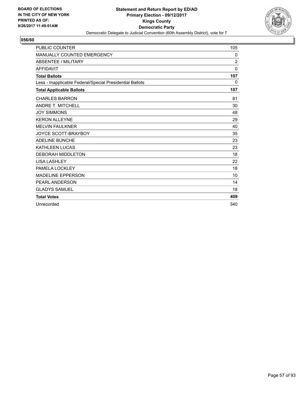

| <b>PUBLIC COUNTER</b>                                    | 105      |
|----------------------------------------------------------|----------|
| <b>MANUALLY COUNTED EMERGENCY</b>                        | 0        |
| <b>ABSENTEE / MILITARY</b>                               | 2        |
| <b>AFFIDAVIT</b>                                         | $\Omega$ |
| <b>Total Ballots</b>                                     | 107      |
| Less - Inapplicable Federal/Special Presidential Ballots | 0        |
| <b>Total Applicable Ballots</b>                          | 107      |
| <b>CHARLES BARRON</b>                                    | 81       |
| <b>ANDRE T. MITCHELL</b>                                 | 30       |
| <b>JOY SIMMONS</b>                                       | 48       |
| <b>KERON ALLEYNE</b>                                     | 29       |
| <b>MELVIN FAULKNER</b>                                   | 40       |
| <b>JOYCE SCOTT-BRAYBOY</b>                               | 35       |
| <b>ADELINE BUNCHE</b>                                    | 23       |
| <b>KATHLEEN LUCAS</b>                                    | 23       |
| <b>DEBORAH MIDDLETON</b>                                 | 18       |
| <b>LISA LASHLEY</b>                                      | 22       |
| PAMELA LOCKLEY                                           | 18       |
| <b>MADELINE EPPERSON</b>                                 | 10       |
| <b>PEARL ANDERSON</b>                                    | 14       |
| <b>GLADYS SAMUEL</b>                                     | 18       |
| <b>Total Votes</b>                                       | 409      |
| Unrecorded                                               | 340      |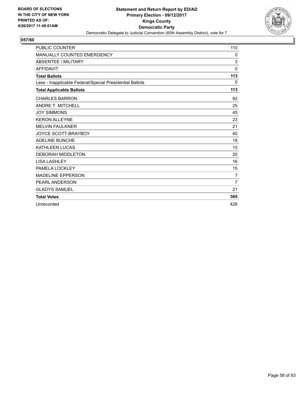

| <b>PUBLIC COUNTER</b>                                    | 110            |
|----------------------------------------------------------|----------------|
| <b>MANUALLY COUNTED EMERGENCY</b>                        | 0              |
| <b>ABSENTEE / MILITARY</b>                               | 3              |
| <b>AFFIDAVIT</b>                                         | $\mathbf{0}$   |
| <b>Total Ballots</b>                                     | 113            |
| Less - Inapplicable Federal/Special Presidential Ballots | 0              |
| <b>Total Applicable Ballots</b>                          | 113            |
| <b>CHARLES BARRON</b>                                    | 92             |
| <b>ANDRE T. MITCHELL</b>                                 | 25             |
| <b>JOY SIMMONS</b>                                       | 45             |
| <b>KERON ALLEYNE</b>                                     | 23             |
| <b>MELVIN FAULKNER</b>                                   | 21             |
| <b>JOYCE SCOTT-BRAYBOY</b>                               | 40             |
| <b>ADELINE BUNCHE</b>                                    | 18             |
| <b>KATHLEEN LUCAS</b>                                    | 15             |
| <b>DEBORAH MIDDLETON</b>                                 | 20             |
| <b>LISA LASHLEY</b>                                      | 16             |
| PAMELA LOCKLEY                                           | 15             |
| <b>MADELINE EPPERSON</b>                                 | $\overline{7}$ |
| PEARL ANDERSON                                           | $\overline{7}$ |
| <b>GLADYS SAMUEL</b>                                     | 21             |
| <b>Total Votes</b>                                       | 365            |
| Unrecorded                                               | 426            |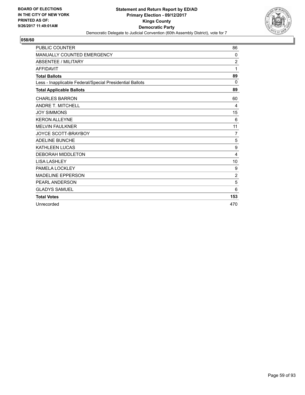

| <b>PUBLIC COUNTER</b>                                    | 86             |
|----------------------------------------------------------|----------------|
| MANUALLY COUNTED EMERGENCY                               | 0              |
| <b>ABSENTEE / MILITARY</b>                               | $\overline{2}$ |
| <b>AFFIDAVIT</b>                                         | 1              |
| <b>Total Ballots</b>                                     | 89             |
| Less - Inapplicable Federal/Special Presidential Ballots | $\Omega$       |
| <b>Total Applicable Ballots</b>                          | 89             |
| <b>CHARLES BARRON</b>                                    | 60             |
| <b>ANDRE T. MITCHELL</b>                                 | 4              |
| <b>JOY SIMMONS</b>                                       | 15             |
| <b>KERON ALLEYNE</b>                                     | 6              |
| <b>MELVIN FAULKNER</b>                                   | 11             |
| <b>JOYCE SCOTT-BRAYBOY</b>                               | $\overline{7}$ |
| <b>ADELINE BUNCHE</b>                                    | 5              |
| <b>KATHLEEN LUCAS</b>                                    | 9              |
| <b>DEBORAH MIDDLETON</b>                                 | 4              |
| <b>LISA LASHLEY</b>                                      | 10             |
| PAMELA LOCKLEY                                           | 9              |
| <b>MADELINE EPPERSON</b>                                 | $\overline{2}$ |
| <b>PEARL ANDERSON</b>                                    | 5              |
| <b>GLADYS SAMUEL</b>                                     | 6              |
| <b>Total Votes</b>                                       | 153            |
| Unrecorded                                               | 470            |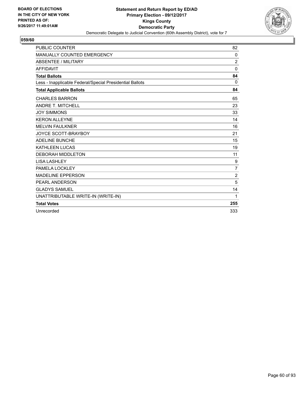

| <b>PUBLIC COUNTER</b>                                    | 82             |
|----------------------------------------------------------|----------------|
| MANUALLY COUNTED EMERGENCY                               | 0              |
| <b>ABSENTEE / MILITARY</b>                               | $\overline{2}$ |
| <b>AFFIDAVIT</b>                                         | $\mathbf{0}$   |
| <b>Total Ballots</b>                                     | 84             |
| Less - Inapplicable Federal/Special Presidential Ballots | $\Omega$       |
| <b>Total Applicable Ballots</b>                          | 84             |
| <b>CHARLES BARRON</b>                                    | 65             |
| <b>ANDRE T. MITCHELL</b>                                 | 23             |
| <b>JOY SIMMONS</b>                                       | 33             |
| <b>KERON ALLEYNE</b>                                     | 14             |
| <b>MELVIN FAULKNER</b>                                   | 16             |
| <b>JOYCE SCOTT-BRAYBOY</b>                               | 21             |
| <b>ADELINE BUNCHE</b>                                    | 15             |
| <b>KATHLEEN LUCAS</b>                                    | 19             |
| <b>DEBORAH MIDDLETON</b>                                 | 11             |
| <b>LISA LASHLEY</b>                                      | 9              |
| PAMELA LOCKLEY                                           | $\overline{7}$ |
| <b>MADELINE EPPERSON</b>                                 | $\overline{2}$ |
| PEARL ANDERSON                                           | 5              |
| <b>GLADYS SAMUEL</b>                                     | 14             |
| UNATTRIBUTABLE WRITE-IN (WRITE-IN)                       | 1              |
| <b>Total Votes</b>                                       | 255            |
| Unrecorded                                               | 333            |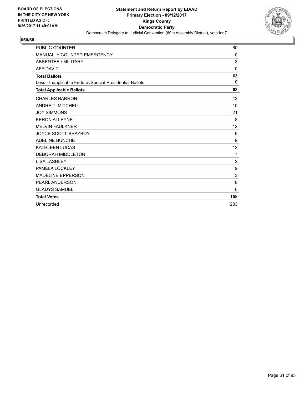

| <b>PUBLIC COUNTER</b>                                    | 60             |
|----------------------------------------------------------|----------------|
| MANUALLY COUNTED EMERGENCY                               | 0              |
| <b>ABSENTEE / MILITARY</b>                               | 3              |
| <b>AFFIDAVIT</b>                                         | 0              |
| <b>Total Ballots</b>                                     | 63             |
| Less - Inapplicable Federal/Special Presidential Ballots | $\Omega$       |
| <b>Total Applicable Ballots</b>                          | 63             |
| <b>CHARLES BARRON</b>                                    | 42             |
| <b>ANDRE T. MITCHELL</b>                                 | 10             |
| <b>JOY SIMMONS</b>                                       | 21             |
| <b>KERON ALLEYNE</b>                                     | 8              |
| <b>MELVIN FAULKNER</b>                                   | 12             |
| <b>JOYCE SCOTT-BRAYBOY</b>                               | 9              |
| <b>ADELINE BUNCHE</b>                                    | 9              |
| KATHLEEN LUCAS                                           | 12             |
| <b>DEBORAH MIDDLETON</b>                                 | $\overline{7}$ |
| <b>LISA LASHLEY</b>                                      | $\overline{2}$ |
| PAMELA LOCKLEY                                           | 9              |
| <b>MADELINE EPPERSON</b>                                 | 3              |
| <b>PEARL ANDERSON</b>                                    | 8              |
| <b>GLADYS SAMUEL</b>                                     | 6              |
| <b>Total Votes</b>                                       | 158            |
| Unrecorded                                               | 283            |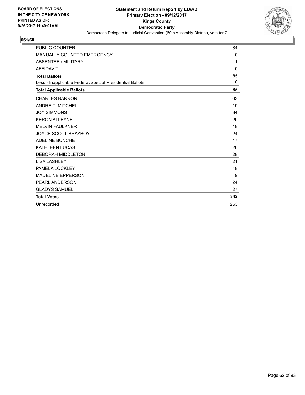

| <b>PUBLIC COUNTER</b>                                    | 84       |
|----------------------------------------------------------|----------|
| MANUALLY COUNTED EMERGENCY                               | 0        |
| <b>ABSENTEE / MILITARY</b>                               | 1        |
| <b>AFFIDAVIT</b>                                         | 0        |
| <b>Total Ballots</b>                                     | 85       |
| Less - Inapplicable Federal/Special Presidential Ballots | $\Omega$ |
| <b>Total Applicable Ballots</b>                          | 85       |
| <b>CHARLES BARRON</b>                                    | 63       |
| <b>ANDRE T. MITCHELL</b>                                 | 19       |
| <b>JOY SIMMONS</b>                                       | 34       |
| <b>KERON ALLEYNE</b>                                     | 20       |
| <b>MELVIN FAULKNER</b>                                   | 18       |
| <b>JOYCE SCOTT-BRAYBOY</b>                               | 24       |
| <b>ADELINE BUNCHE</b>                                    | 17       |
| <b>KATHLEEN LUCAS</b>                                    | 20       |
| <b>DEBORAH MIDDLETON</b>                                 | 28       |
| <b>LISA LASHLEY</b>                                      | 21       |
| PAMELA LOCKLEY                                           | 18       |
| <b>MADELINE EPPERSON</b>                                 | 9        |
| <b>PEARL ANDERSON</b>                                    | 24       |
| <b>GLADYS SAMUEL</b>                                     | 27       |
| <b>Total Votes</b>                                       | 342      |
| Unrecorded                                               | 253      |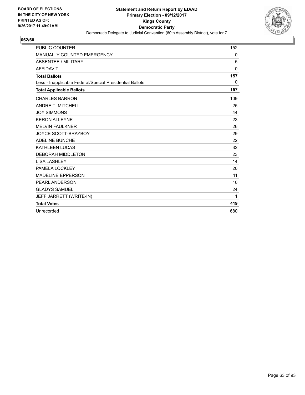

| <b>PUBLIC COUNTER</b>                                    | 152          |
|----------------------------------------------------------|--------------|
| MANUALLY COUNTED EMERGENCY                               | 0            |
| <b>ABSENTEE / MILITARY</b>                               | 5            |
| <b>AFFIDAVIT</b>                                         | $\mathbf{0}$ |
| <b>Total Ballots</b>                                     | 157          |
| Less - Inapplicable Federal/Special Presidential Ballots | 0            |
| <b>Total Applicable Ballots</b>                          | 157          |
| <b>CHARLES BARRON</b>                                    | 109          |
| <b>ANDRE T. MITCHELL</b>                                 | 25           |
| <b>JOY SIMMONS</b>                                       | 44           |
| <b>KERON ALLEYNE</b>                                     | 23           |
| <b>MELVIN FAULKNER</b>                                   | 26           |
| JOYCE SCOTT-BRAYBOY                                      | 29           |
| <b>ADELINE BUNCHE</b>                                    | 22           |
| <b>KATHLEEN LUCAS</b>                                    | 32           |
| <b>DEBORAH MIDDLETON</b>                                 | 23           |
| <b>LISA LASHLEY</b>                                      | 14           |
| PAMELA LOCKLEY                                           | 20           |
| <b>MADELINE EPPERSON</b>                                 | 11           |
| PEARL ANDERSON                                           | 16           |
| <b>GLADYS SAMUEL</b>                                     | 24           |
| JEFF JARRETT (WRITE-IN)                                  | 1            |
| <b>Total Votes</b>                                       | 419          |
| Unrecorded                                               | 680          |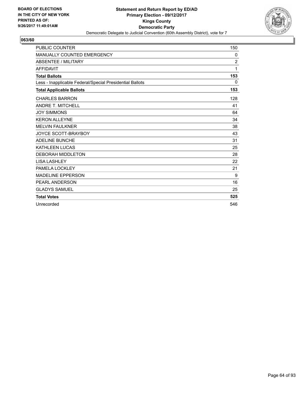

| <b>PUBLIC COUNTER</b>                                    | 150            |
|----------------------------------------------------------|----------------|
| <b>MANUALLY COUNTED EMERGENCY</b>                        | 0              |
| <b>ABSENTEE / MILITARY</b>                               | $\overline{2}$ |
| <b>AFFIDAVIT</b>                                         | 1              |
| <b>Total Ballots</b>                                     | 153            |
| Less - Inapplicable Federal/Special Presidential Ballots | 0              |
| <b>Total Applicable Ballots</b>                          | 153            |
| <b>CHARLES BARRON</b>                                    | 128            |
| <b>ANDRE T. MITCHELL</b>                                 | 41             |
| <b>JOY SIMMONS</b>                                       | 64             |
| <b>KERON ALLEYNE</b>                                     | 34             |
| <b>MELVIN FAULKNER</b>                                   | 38             |
| <b>JOYCE SCOTT-BRAYBOY</b>                               | 43             |
| <b>ADELINE BUNCHE</b>                                    | 31             |
| <b>KATHLEEN LUCAS</b>                                    | 25             |
| <b>DEBORAH MIDDLETON</b>                                 | 28             |
| <b>LISA LASHLEY</b>                                      | 22             |
| PAMELA LOCKLEY                                           | 21             |
| <b>MADELINE EPPERSON</b>                                 | 9              |
| <b>PEARL ANDERSON</b>                                    | 16             |
| <b>GLADYS SAMUEL</b>                                     | 25             |
| <b>Total Votes</b>                                       | 525            |
| Unrecorded                                               | 546            |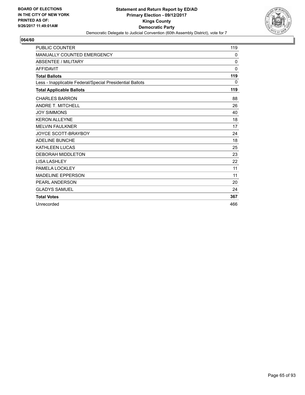

| <b>PUBLIC COUNTER</b>                                    | 119          |
|----------------------------------------------------------|--------------|
| <b>MANUALLY COUNTED EMERGENCY</b>                        | $\mathbf{0}$ |
| <b>ABSENTEE / MILITARY</b>                               | 0            |
| <b>AFFIDAVIT</b>                                         | $\mathbf{0}$ |
| <b>Total Ballots</b>                                     | 119          |
| Less - Inapplicable Federal/Special Presidential Ballots | 0            |
| <b>Total Applicable Ballots</b>                          | 119          |
| <b>CHARLES BARRON</b>                                    | 88           |
| ANDRE T. MITCHELL                                        | 26           |
| <b>JOY SIMMONS</b>                                       | 40           |
| <b>KERON ALLEYNE</b>                                     | 18           |
| <b>MELVIN FAULKNER</b>                                   | 17           |
| <b>JOYCE SCOTT-BRAYBOY</b>                               | 24           |
| <b>ADELINE BUNCHE</b>                                    | 18           |
| <b>KATHLEEN LUCAS</b>                                    | 25           |
| <b>DEBORAH MIDDLETON</b>                                 | 23           |
| <b>LISA LASHLEY</b>                                      | 22           |
| PAMELA LOCKLEY                                           | 11           |
| <b>MADELINE EPPERSON</b>                                 | 11           |
| <b>PEARL ANDERSON</b>                                    | 20           |
| <b>GLADYS SAMUEL</b>                                     | 24           |
| <b>Total Votes</b>                                       | 367          |
| Unrecorded                                               | 466          |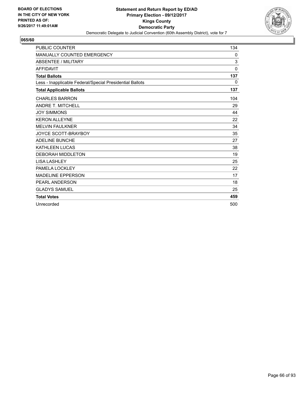

| <b>PUBLIC COUNTER</b>                                    | 134      |
|----------------------------------------------------------|----------|
| MANUALLY COUNTED EMERGENCY                               | 0        |
| <b>ABSENTEE / MILITARY</b>                               | 3        |
| <b>AFFIDAVIT</b>                                         | $\Omega$ |
| <b>Total Ballots</b>                                     | 137      |
| Less - Inapplicable Federal/Special Presidential Ballots | 0        |
| <b>Total Applicable Ballots</b>                          | 137      |
| <b>CHARLES BARRON</b>                                    | 104      |
| <b>ANDRE T. MITCHELL</b>                                 | 29       |
| <b>JOY SIMMONS</b>                                       | 44       |
| <b>KERON ALLEYNE</b>                                     | 22       |
| <b>MELVIN FAULKNER</b>                                   | 34       |
| <b>JOYCE SCOTT-BRAYBOY</b>                               | 35       |
| <b>ADELINE BUNCHE</b>                                    | 27       |
| <b>KATHLEEN LUCAS</b>                                    | 38       |
| <b>DEBORAH MIDDLETON</b>                                 | 19       |
| <b>LISA LASHLEY</b>                                      | 25       |
| PAMELA LOCKLEY                                           | 22       |
| <b>MADELINE EPPERSON</b>                                 | 17       |
| <b>PEARL ANDERSON</b>                                    | 18       |
| <b>GLADYS SAMUEL</b>                                     | 25       |
| <b>Total Votes</b>                                       | 459      |
| Unrecorded                                               | 500      |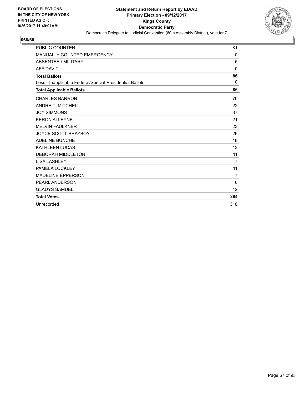

| <b>PUBLIC COUNTER</b>                                    | 81             |
|----------------------------------------------------------|----------------|
| MANUALLY COUNTED EMERGENCY                               | 0              |
| <b>ABSENTEE / MILITARY</b>                               | 5              |
| <b>AFFIDAVIT</b>                                         | $\mathbf{0}$   |
| <b>Total Ballots</b>                                     | 86             |
| Less - Inapplicable Federal/Special Presidential Ballots | 0              |
| <b>Total Applicable Ballots</b>                          | 86             |
| <b>CHARLES BARRON</b>                                    | 70             |
| <b>ANDRE T. MITCHELL</b>                                 | 22             |
| <b>JOY SIMMONS</b>                                       | 37             |
| <b>KERON ALLEYNE</b>                                     | 21             |
| <b>MELVIN FAULKNER</b>                                   | 23             |
| JOYCE SCOTT-BRAYBOY                                      | 26             |
| <b>ADELINE BUNCHE</b>                                    | 18             |
| <b>KATHLEEN LUCAS</b>                                    | 13             |
| <b>DEBORAH MIDDLETON</b>                                 | 11             |
| <b>LISA LASHLEY</b>                                      | $\overline{7}$ |
| PAMELA LOCKLEY                                           | 11             |
| <b>MADELINE EPPERSON</b>                                 | 7              |
| <b>PEARL ANDERSON</b>                                    | 6              |
| <b>GLADYS SAMUEL</b>                                     | 12             |
| <b>Total Votes</b>                                       | 284            |
| Unrecorded                                               | 318            |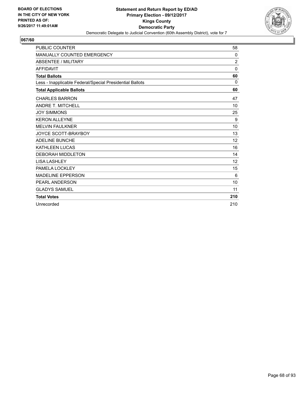

| <b>PUBLIC COUNTER</b>                                    | 58             |
|----------------------------------------------------------|----------------|
| MANUALLY COUNTED EMERGENCY                               | $\mathbf{0}$   |
| <b>ABSENTEE / MILITARY</b>                               | $\overline{2}$ |
| <b>AFFIDAVIT</b>                                         | $\Omega$       |
| <b>Total Ballots</b>                                     | 60             |
| Less - Inapplicable Federal/Special Presidential Ballots | 0              |
| <b>Total Applicable Ballots</b>                          | 60             |
| <b>CHARLES BARRON</b>                                    | 47             |
| <b>ANDRE T. MITCHELL</b>                                 | 10             |
| <b>JOY SIMMONS</b>                                       | 25             |
| <b>KERON ALLEYNE</b>                                     | 9              |
| <b>MELVIN FAULKNER</b>                                   | 10             |
| <b>JOYCE SCOTT-BRAYBOY</b>                               | 13             |
| <b>ADELINE BUNCHE</b>                                    | 12             |
| <b>KATHLEEN LUCAS</b>                                    | 16             |
| <b>DEBORAH MIDDLETON</b>                                 | 14             |
| <b>LISA LASHLEY</b>                                      | 12             |
| PAMELA LOCKLEY                                           | 15             |
| <b>MADELINE EPPERSON</b>                                 | 6              |
| <b>PEARL ANDERSON</b>                                    | 10             |
| <b>GLADYS SAMUEL</b>                                     | 11             |
| <b>Total Votes</b>                                       | 210            |
| Unrecorded                                               | 210            |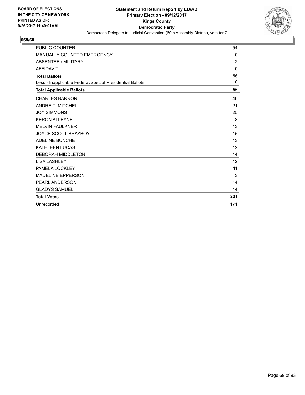

| <b>PUBLIC COUNTER</b>                                    | 54             |
|----------------------------------------------------------|----------------|
| MANUALLY COUNTED EMERGENCY                               | $\mathbf{0}$   |
| <b>ABSENTEE / MILITARY</b>                               | $\overline{2}$ |
| <b>AFFIDAVIT</b>                                         | $\Omega$       |
| <b>Total Ballots</b>                                     | 56             |
| Less - Inapplicable Federal/Special Presidential Ballots | $\Omega$       |
| <b>Total Applicable Ballots</b>                          | 56             |
| <b>CHARLES BARRON</b>                                    | 46             |
| <b>ANDRE T. MITCHELL</b>                                 | 21             |
| <b>JOY SIMMONS</b>                                       | 25             |
| <b>KERON ALLEYNE</b>                                     | 8              |
| <b>MELVIN FAULKNER</b>                                   | 13             |
| <b>JOYCE SCOTT-BRAYBOY</b>                               | 15             |
| <b>ADELINE BUNCHE</b>                                    | 13             |
| <b>KATHLEEN LUCAS</b>                                    | 12             |
| <b>DEBORAH MIDDLETON</b>                                 | 14             |
| <b>LISA LASHLEY</b>                                      | 12             |
| PAMELA LOCKLEY                                           | 11             |
| <b>MADELINE EPPERSON</b>                                 | 3              |
| <b>PEARL ANDERSON</b>                                    | 14             |
| <b>GLADYS SAMUEL</b>                                     | 14             |
| <b>Total Votes</b>                                       | 221            |
| Unrecorded                                               | 171            |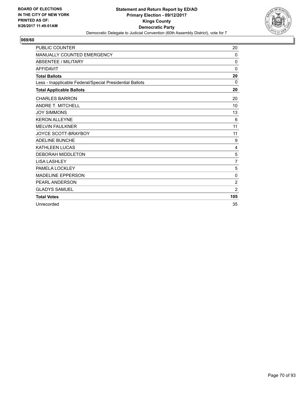

| <b>PUBLIC COUNTER</b>                                    | 20             |
|----------------------------------------------------------|----------------|
| <b>MANUALLY COUNTED EMERGENCY</b>                        | 0              |
| <b>ABSENTEE / MILITARY</b>                               | 0              |
| <b>AFFIDAVIT</b>                                         | $\Omega$       |
| <b>Total Ballots</b>                                     | 20             |
| Less - Inapplicable Federal/Special Presidential Ballots | $\Omega$       |
| <b>Total Applicable Ballots</b>                          | 20             |
| <b>CHARLES BARRON</b>                                    | 20             |
| <b>ANDRE T. MITCHELL</b>                                 | 10             |
| <b>JOY SIMMONS</b>                                       | 13             |
| <b>KERON ALLEYNE</b>                                     | 6              |
| <b>MELVIN FAULKNER</b>                                   | 11             |
| <b>JOYCE SCOTT-BRAYBOY</b>                               | 11             |
| <b>ADELINE BUNCHE</b>                                    | 9              |
| <b>KATHLEEN LUCAS</b>                                    | 4              |
| <b>DEBORAH MIDDLETON</b>                                 | 5              |
| <b>LISA LASHLEY</b>                                      | $\overline{7}$ |
| PAMELA LOCKLEY                                           | 5              |
| <b>MADELINE EPPERSON</b>                                 | 0              |
| <b>PEARL ANDERSON</b>                                    | $\overline{2}$ |
| <b>GLADYS SAMUEL</b>                                     | $\overline{2}$ |
| <b>Total Votes</b>                                       | 105            |
| Unrecorded                                               | 35             |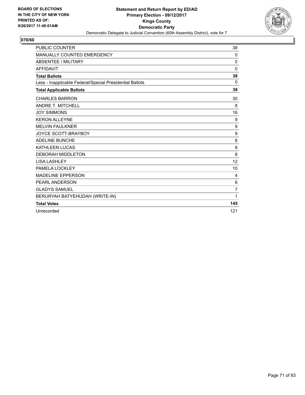

| <b>PUBLIC COUNTER</b>                                    | 38               |
|----------------------------------------------------------|------------------|
| MANUALLY COUNTED EMERGENCY                               | 0                |
| <b>ABSENTEE / MILITARY</b>                               | 0                |
| <b>AFFIDAVIT</b>                                         | $\Omega$         |
| <b>Total Ballots</b>                                     | 38               |
| Less - Inapplicable Federal/Special Presidential Ballots | $\Omega$         |
| <b>Total Applicable Ballots</b>                          | 38               |
| <b>CHARLES BARRON</b>                                    | 30               |
| <b>ANDRE T. MITCHELL</b>                                 | 8                |
| <b>JOY SIMMONS</b>                                       | 16               |
| <b>KERON ALLEYNE</b>                                     | 9                |
| <b>MELVIN FAULKNER</b>                                   | $\boldsymbol{9}$ |
| <b>JOYCE SCOTT-BRAYBOY</b>                               | 9                |
| <b>ADELINE BUNCHE</b>                                    | 8                |
| <b>KATHLEEN LUCAS</b>                                    | 8                |
| <b>DEBORAH MIDDLETON</b>                                 | 8                |
| <b>LISA LASHLEY</b>                                      | 12               |
| PAMELA LOCKLEY                                           | 10               |
| <b>MADELINE EPPERSON</b>                                 | 4                |
| PEARL ANDERSON                                           | 6                |
| <b>GLADYS SAMUEL</b>                                     | $\overline{7}$   |
| BERURYAH BATYEHUDAH (WRITE-IN)                           | 1                |
| <b>Total Votes</b>                                       | 145              |
| Unrecorded                                               | 121              |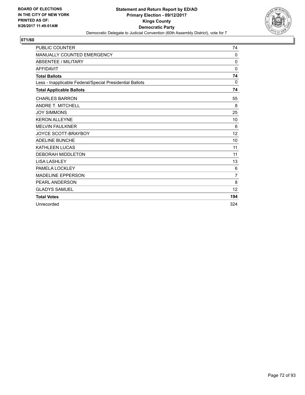

| <b>PUBLIC COUNTER</b>                                    | 74             |
|----------------------------------------------------------|----------------|
| MANUALLY COUNTED EMERGENCY                               | 0              |
| <b>ABSENTEE / MILITARY</b>                               | 0              |
| <b>AFFIDAVIT</b>                                         | 0              |
| <b>Total Ballots</b>                                     | 74             |
| Less - Inapplicable Federal/Special Presidential Ballots | $\Omega$       |
| <b>Total Applicable Ballots</b>                          | 74             |
| <b>CHARLES BARRON</b>                                    | 55             |
| <b>ANDRE T. MITCHELL</b>                                 | 8              |
| <b>JOY SIMMONS</b>                                       | 25             |
| <b>KERON ALLEYNE</b>                                     | 10             |
| <b>MELVIN FAULKNER</b>                                   | 6              |
| <b>JOYCE SCOTT-BRAYBOY</b>                               | 12             |
| <b>ADELINE BUNCHE</b>                                    | 10             |
| <b>KATHLEEN LUCAS</b>                                    | 11             |
| <b>DEBORAH MIDDLETON</b>                                 | 11             |
| <b>LISA LASHLEY</b>                                      | 13             |
| PAMELA LOCKLEY                                           | 6              |
| <b>MADELINE EPPERSON</b>                                 | $\overline{7}$ |
| PEARL ANDERSON                                           | 8              |
| <b>GLADYS SAMUEL</b>                                     | 12             |
| <b>Total Votes</b>                                       | 194            |
| Unrecorded                                               | 324            |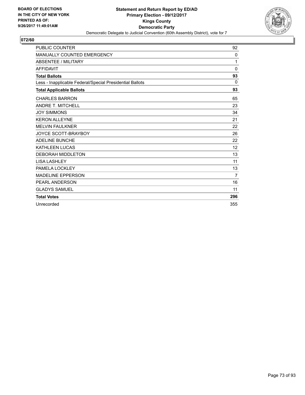

| <b>PUBLIC COUNTER</b>                                    | 92                |
|----------------------------------------------------------|-------------------|
| MANUALLY COUNTED EMERGENCY                               | 0                 |
| <b>ABSENTEE / MILITARY</b>                               | 1                 |
| <b>AFFIDAVIT</b>                                         | $\mathbf{0}$      |
| <b>Total Ballots</b>                                     | 93                |
| Less - Inapplicable Federal/Special Presidential Ballots | 0                 |
| <b>Total Applicable Ballots</b>                          | 93                |
| <b>CHARLES BARRON</b>                                    | 65                |
| <b>ANDRE T. MITCHELL</b>                                 | 23                |
| <b>JOY SIMMONS</b>                                       | 34                |
| <b>KERON ALLEYNE</b>                                     | 21                |
| <b>MELVIN FAULKNER</b>                                   | 22                |
| <b>JOYCE SCOTT-BRAYBOY</b>                               | 26                |
| <b>ADELINE BUNCHE</b>                                    | 22                |
| <b>KATHLEEN LUCAS</b>                                    | $12 \overline{ }$ |
| <b>DEBORAH MIDDLETON</b>                                 | 13                |
| <b>LISA LASHLEY</b>                                      | 11                |
| PAMELA LOCKLEY                                           | 13                |
| <b>MADELINE EPPERSON</b>                                 | 7                 |
| PEARL ANDERSON                                           | 16                |
| <b>GLADYS SAMUEL</b>                                     | 11                |
| <b>Total Votes</b>                                       | 296               |
| Unrecorded                                               | 355               |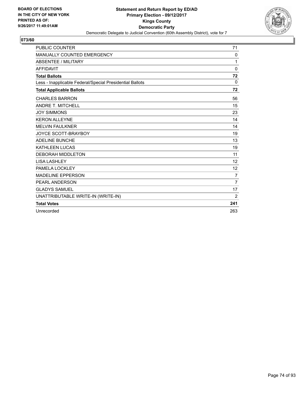

| <b>PUBLIC COUNTER</b>                                    | 71             |
|----------------------------------------------------------|----------------|
| MANUALLY COUNTED EMERGENCY                               | 0              |
| <b>ABSENTEE / MILITARY</b>                               | 1              |
| <b>AFFIDAVIT</b>                                         | $\Omega$       |
| <b>Total Ballots</b>                                     | 72             |
| Less - Inapplicable Federal/Special Presidential Ballots | $\Omega$       |
| <b>Total Applicable Ballots</b>                          | 72             |
| <b>CHARLES BARRON</b>                                    | 56             |
| <b>ANDRE T. MITCHELL</b>                                 | 15             |
| <b>JOY SIMMONS</b>                                       | 23             |
| <b>KERON ALLEYNE</b>                                     | 14             |
| <b>MELVIN FAULKNER</b>                                   | 14             |
| <b>JOYCE SCOTT-BRAYBOY</b>                               | 19             |
| <b>ADELINE BUNCHE</b>                                    | 13             |
| <b>KATHLEEN LUCAS</b>                                    | 19             |
| <b>DEBORAH MIDDLETON</b>                                 | 11             |
| <b>LISA LASHLEY</b>                                      | 12             |
| PAMELA LOCKLEY                                           | 12             |
| <b>MADELINE EPPERSON</b>                                 | $\overline{7}$ |
| PEARL ANDERSON                                           | $\overline{7}$ |
| <b>GLADYS SAMUEL</b>                                     | 17             |
| UNATTRIBUTABLE WRITE-IN (WRITE-IN)                       | 2              |
| <b>Total Votes</b>                                       | 241            |
| Unrecorded                                               | 263            |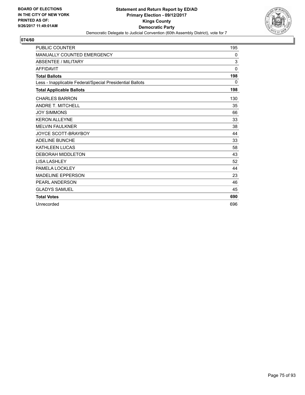

| <b>PUBLIC COUNTER</b>                                    | 195          |
|----------------------------------------------------------|--------------|
| <b>MANUALLY COUNTED EMERGENCY</b>                        | $\mathbf{0}$ |
| ABSENTEE / MILITARY                                      | 3            |
| <b>AFFIDAVIT</b>                                         | $\mathbf{0}$ |
| <b>Total Ballots</b>                                     | 198          |
| Less - Inapplicable Federal/Special Presidential Ballots | $\Omega$     |
| <b>Total Applicable Ballots</b>                          | 198          |
| <b>CHARLES BARRON</b>                                    | 130          |
| <b>ANDRE T. MITCHELL</b>                                 | 35           |
| <b>JOY SIMMONS</b>                                       | 66           |
| <b>KERON ALLEYNE</b>                                     | 33           |
| <b>MELVIN FAULKNER</b>                                   | 38           |
| <b>JOYCE SCOTT-BRAYBOY</b>                               | 44           |
| <b>ADELINE BUNCHE</b>                                    | 33           |
| <b>KATHLEEN LUCAS</b>                                    | 58           |
| <b>DEBORAH MIDDLETON</b>                                 | 43           |
| <b>LISA LASHLEY</b>                                      | 52           |
| PAMELA LOCKLEY                                           | 44           |
| <b>MADELINE EPPERSON</b>                                 | 23           |
| <b>PEARL ANDERSON</b>                                    | 46           |
| <b>GLADYS SAMUEL</b>                                     | 45           |
| <b>Total Votes</b>                                       | 690          |
| Unrecorded                                               | 696          |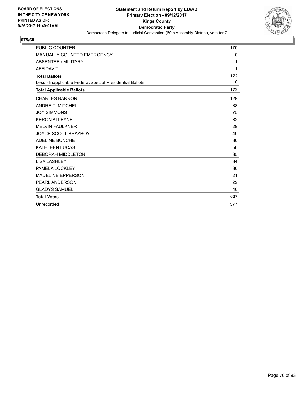

| <b>PUBLIC COUNTER</b>                                    | 170 |
|----------------------------------------------------------|-----|
| <b>MANUALLY COUNTED EMERGENCY</b>                        | 0   |
| ABSENTEE / MILITARY                                      | 1   |
| <b>AFFIDAVIT</b>                                         | 1   |
| <b>Total Ballots</b>                                     | 172 |
| Less - Inapplicable Federal/Special Presidential Ballots | 0   |
| <b>Total Applicable Ballots</b>                          | 172 |
| <b>CHARLES BARRON</b>                                    | 129 |
| <b>ANDRE T. MITCHELL</b>                                 | 38  |
| <b>JOY SIMMONS</b>                                       | 75  |
| <b>KERON ALLEYNE</b>                                     | 32  |
| <b>MELVIN FAULKNER</b>                                   | 29  |
| <b>JOYCE SCOTT-BRAYBOY</b>                               | 49  |
| <b>ADELINE BUNCHE</b>                                    | 30  |
| <b>KATHLEEN LUCAS</b>                                    | 56  |
| <b>DEBORAH MIDDLETON</b>                                 | 35  |
| <b>LISA LASHLEY</b>                                      | 34  |
| PAMELA LOCKLEY                                           | 30  |
| <b>MADELINE EPPERSON</b>                                 | 21  |
| <b>PEARL ANDERSON</b>                                    | 29  |
| <b>GLADYS SAMUEL</b>                                     | 40  |
| <b>Total Votes</b>                                       | 627 |
| Unrecorded                                               | 577 |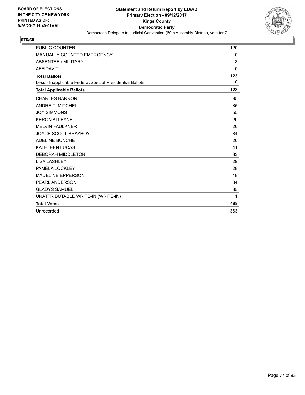

| <b>PUBLIC COUNTER</b>                                    | 120 |
|----------------------------------------------------------|-----|
| MANUALLY COUNTED EMERGENCY                               | 0   |
| <b>ABSENTEE / MILITARY</b>                               | 3   |
| <b>AFFIDAVIT</b>                                         | 0   |
| <b>Total Ballots</b>                                     | 123 |
| Less - Inapplicable Federal/Special Presidential Ballots | 0   |
| <b>Total Applicable Ballots</b>                          | 123 |
| <b>CHARLES BARRON</b>                                    | 95  |
| <b>ANDRE T. MITCHELL</b>                                 | 35  |
| <b>JOY SIMMONS</b>                                       | 55  |
| <b>KERON ALLEYNE</b>                                     | 20  |
| <b>MELVIN FAULKNER</b>                                   | 20  |
| <b>JOYCE SCOTT-BRAYBOY</b>                               | 34  |
| <b>ADELINE BUNCHE</b>                                    | 20  |
| <b>KATHLEEN LUCAS</b>                                    | 41  |
| <b>DEBORAH MIDDLETON</b>                                 | 33  |
| <b>LISA LASHLEY</b>                                      | 29  |
| PAMELA LOCKLEY                                           | 28  |
| <b>MADELINE EPPERSON</b>                                 | 18  |
| PEARL ANDERSON                                           | 34  |
| <b>GLADYS SAMUEL</b>                                     | 35  |
| UNATTRIBUTABLE WRITE-IN (WRITE-IN)                       | 1   |
| <b>Total Votes</b>                                       | 498 |
| Unrecorded                                               | 363 |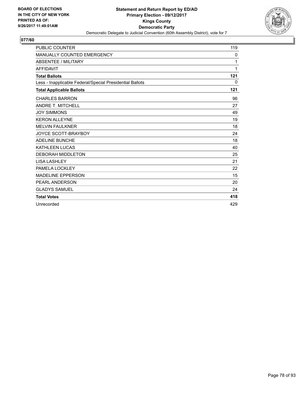

| <b>PUBLIC COUNTER</b>                                    | 119 |
|----------------------------------------------------------|-----|
| <b>MANUALLY COUNTED EMERGENCY</b>                        | 0   |
| <b>ABSENTEE / MILITARY</b>                               | 1   |
| <b>AFFIDAVIT</b>                                         | 1   |
| <b>Total Ballots</b>                                     | 121 |
| Less - Inapplicable Federal/Special Presidential Ballots | 0   |
| <b>Total Applicable Ballots</b>                          | 121 |
| <b>CHARLES BARRON</b>                                    | 96  |
| <b>ANDRE T. MITCHELL</b>                                 | 27  |
| <b>JOY SIMMONS</b>                                       | 49  |
| <b>KERON ALLEYNE</b>                                     | 19  |
| <b>MELVIN FAULKNER</b>                                   | 18  |
| <b>JOYCE SCOTT-BRAYBOY</b>                               | 24  |
| <b>ADELINE BUNCHE</b>                                    | 18  |
| <b>KATHLEEN LUCAS</b>                                    | 40  |
| <b>DEBORAH MIDDLETON</b>                                 | 25  |
| <b>LISA LASHLEY</b>                                      | 21  |
| PAMELA LOCKLEY                                           | 22  |
| <b>MADELINE EPPERSON</b>                                 | 15  |
| PEARL ANDERSON                                           | 20  |
| <b>GLADYS SAMUEL</b>                                     | 24  |
| <b>Total Votes</b>                                       | 418 |
| Unrecorded                                               | 429 |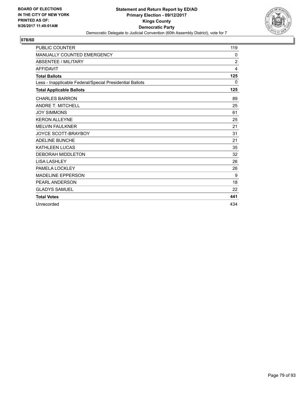

| <b>PUBLIC COUNTER</b>                                    | 119            |
|----------------------------------------------------------|----------------|
| <b>MANUALLY COUNTED EMERGENCY</b>                        | 0              |
| ABSENTEE / MILITARY                                      | $\overline{2}$ |
| <b>AFFIDAVIT</b>                                         | 4              |
| <b>Total Ballots</b>                                     | 125            |
| Less - Inapplicable Federal/Special Presidential Ballots | 0              |
| <b>Total Applicable Ballots</b>                          | 125            |
| <b>CHARLES BARRON</b>                                    | 89             |
| <b>ANDRE T. MITCHELL</b>                                 | 25             |
| <b>JOY SIMMONS</b>                                       | 61             |
| <b>KERON ALLEYNE</b>                                     | 25             |
| <b>MELVIN FAULKNER</b>                                   | 21             |
| <b>JOYCE SCOTT-BRAYBOY</b>                               | 31             |
| <b>ADELINE BUNCHE</b>                                    | 21             |
| <b>KATHLEEN LUCAS</b>                                    | 35             |
| <b>DEBORAH MIDDLETON</b>                                 | 32             |
| <b>LISA LASHLEY</b>                                      | 26             |
| PAMELA LOCKLEY                                           | 26             |
| <b>MADELINE EPPERSON</b>                                 | 9              |
| PEARL ANDERSON                                           | 18             |
| <b>GLADYS SAMUEL</b>                                     | 22             |
| <b>Total Votes</b>                                       | 441            |
| Unrecorded                                               | 434            |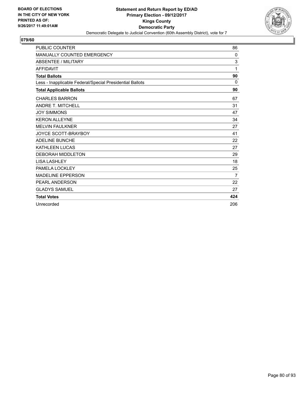

| <b>PUBLIC COUNTER</b>                                    | 86  |
|----------------------------------------------------------|-----|
| MANUALLY COUNTED EMERGENCY                               | 0   |
| <b>ABSENTEE / MILITARY</b>                               | 3   |
| <b>AFFIDAVIT</b>                                         | 1   |
| <b>Total Ballots</b>                                     | 90  |
| Less - Inapplicable Federal/Special Presidential Ballots | 0   |
| <b>Total Applicable Ballots</b>                          | 90  |
| <b>CHARLES BARRON</b>                                    | 67  |
| <b>ANDRE T. MITCHELL</b>                                 | 31  |
| <b>JOY SIMMONS</b>                                       | 47  |
| <b>KERON ALLEYNE</b>                                     | 34  |
| <b>MELVIN FAULKNER</b>                                   | 27  |
| <b>JOYCE SCOTT-BRAYBOY</b>                               | 41  |
| <b>ADELINE BUNCHE</b>                                    | 22  |
| <b>KATHLEEN LUCAS</b>                                    | 27  |
| <b>DEBORAH MIDDLETON</b>                                 | 29  |
| <b>LISA LASHLEY</b>                                      | 18  |
| PAMELA LOCKLEY                                           | 25  |
| <b>MADELINE EPPERSON</b>                                 | 7   |
| <b>PEARL ANDERSON</b>                                    | 22  |
| <b>GLADYS SAMUEL</b>                                     | 27  |
| <b>Total Votes</b>                                       | 424 |
| Unrecorded                                               | 206 |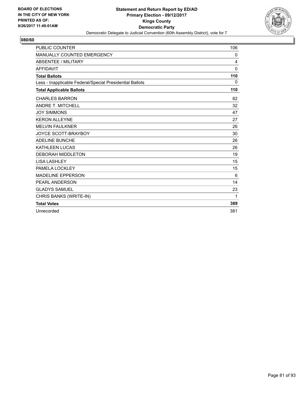

| <b>PUBLIC COUNTER</b>                                    | 106          |
|----------------------------------------------------------|--------------|
| MANUALLY COUNTED EMERGENCY                               | 0            |
| <b>ABSENTEE / MILITARY</b>                               | 4            |
| <b>AFFIDAVIT</b>                                         | $\mathbf{0}$ |
| <b>Total Ballots</b>                                     | 110          |
| Less - Inapplicable Federal/Special Presidential Ballots | 0            |
| <b>Total Applicable Ballots</b>                          | 110          |
| <b>CHARLES BARRON</b>                                    | 82           |
| <b>ANDRE T. MITCHELL</b>                                 | 32           |
| <b>JOY SIMMONS</b>                                       | 47           |
| <b>KERON ALLEYNE</b>                                     | 27           |
| <b>MELVIN FAULKNER</b>                                   | 26           |
| JOYCE SCOTT-BRAYBOY                                      | 30           |
| <b>ADELINE BUNCHE</b>                                    | 26           |
| <b>KATHLEEN LUCAS</b>                                    | 26           |
| <b>DEBORAH MIDDLETON</b>                                 | 19           |
| <b>LISA LASHLEY</b>                                      | 15           |
| PAMELA LOCKLEY                                           | 15           |
| <b>MADELINE EPPERSON</b>                                 | 6            |
| PEARL ANDERSON                                           | 14           |
| <b>GLADYS SAMUEL</b>                                     | 23           |
| CHRIS BANKS (WRITE-IN)                                   | 1            |
| <b>Total Votes</b>                                       | 389          |
| Unrecorded                                               | 381          |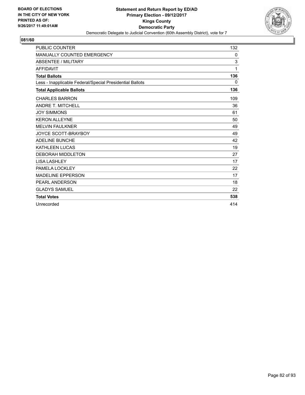

| <b>PUBLIC COUNTER</b>                                    | 132          |
|----------------------------------------------------------|--------------|
| <b>MANUALLY COUNTED EMERGENCY</b>                        | $\mathbf{0}$ |
| ABSENTEE / MILITARY                                      | 3            |
| <b>AFFIDAVIT</b>                                         | 1            |
| <b>Total Ballots</b>                                     | 136          |
| Less - Inapplicable Federal/Special Presidential Ballots | $\Omega$     |
| <b>Total Applicable Ballots</b>                          | 136          |
| <b>CHARLES BARRON</b>                                    | 109          |
| <b>ANDRE T. MITCHELL</b>                                 | 36           |
| <b>JOY SIMMONS</b>                                       | 61           |
| <b>KERON ALLEYNE</b>                                     | 50           |
| <b>MELVIN FAULKNER</b>                                   | 49           |
| <b>JOYCE SCOTT-BRAYBOY</b>                               | 49           |
| <b>ADELINE BUNCHE</b>                                    | 42           |
| <b>KATHLEEN LUCAS</b>                                    | 19           |
| <b>DEBORAH MIDDLETON</b>                                 | 27           |
| <b>LISA LASHLEY</b>                                      | 17           |
| PAMELA LOCKLEY                                           | 22           |
| <b>MADELINE EPPERSON</b>                                 | 17           |
| <b>PEARL ANDERSON</b>                                    | 18           |
| <b>GLADYS SAMUEL</b>                                     | 22           |
| <b>Total Votes</b>                                       | 538          |
| Unrecorded                                               | 414          |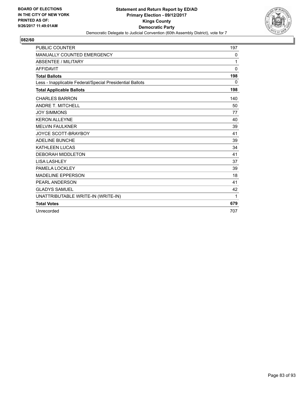

| <b>PUBLIC COUNTER</b>                                    | 197         |
|----------------------------------------------------------|-------------|
| MANUALLY COUNTED EMERGENCY                               | 0           |
| <b>ABSENTEE / MILITARY</b>                               | 1           |
| <b>AFFIDAVIT</b>                                         | $\mathbf 0$ |
| <b>Total Ballots</b>                                     | 198         |
| Less - Inapplicable Federal/Special Presidential Ballots | $\Omega$    |
| <b>Total Applicable Ballots</b>                          | 198         |
| <b>CHARLES BARRON</b>                                    | 140         |
| <b>ANDRE T. MITCHELL</b>                                 | 50          |
| <b>JOY SIMMONS</b>                                       | 77          |
| <b>KERON ALLEYNE</b>                                     | 40          |
| <b>MELVIN FAULKNER</b>                                   | 39          |
| <b>JOYCE SCOTT-BRAYBOY</b>                               | 41          |
| <b>ADELINE BUNCHE</b>                                    | 39          |
| <b>KATHLEEN LUCAS</b>                                    | 34          |
| <b>DEBORAH MIDDLETON</b>                                 | 41          |
| <b>LISA LASHLEY</b>                                      | 37          |
| PAMELA LOCKLEY                                           | 39          |
| <b>MADELINE EPPERSON</b>                                 | 18          |
| PEARL ANDERSON                                           | 41          |
| <b>GLADYS SAMUEL</b>                                     | 42          |
| UNATTRIBUTABLE WRITE-IN (WRITE-IN)                       | 1           |
| <b>Total Votes</b>                                       | 679         |
| Unrecorded                                               | 707         |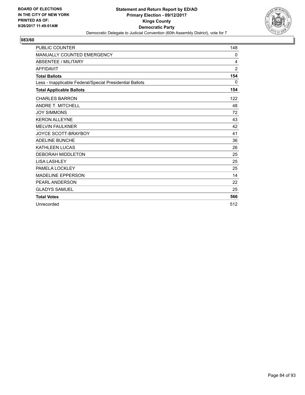

| <b>PUBLIC COUNTER</b>                                    | 148      |
|----------------------------------------------------------|----------|
| <b>MANUALLY COUNTED EMERGENCY</b>                        | 0        |
| ABSENTEE / MILITARY                                      | 4        |
| <b>AFFIDAVIT</b>                                         | 2        |
| <b>Total Ballots</b>                                     | 154      |
| Less - Inapplicable Federal/Special Presidential Ballots | $\Omega$ |
| <b>Total Applicable Ballots</b>                          | 154      |
| <b>CHARLES BARRON</b>                                    | 122      |
| <b>ANDRE T. MITCHELL</b>                                 | 48       |
| <b>JOY SIMMONS</b>                                       | 72       |
| <b>KERON ALLEYNE</b>                                     | 43       |
| <b>MELVIN FAULKNER</b>                                   | 42       |
| <b>JOYCE SCOTT-BRAYBOY</b>                               | 41       |
| <b>ADELINE BUNCHE</b>                                    | 36       |
| <b>KATHLEEN LUCAS</b>                                    | 26       |
| <b>DEBORAH MIDDLETON</b>                                 | 25       |
| <b>LISA LASHLEY</b>                                      | 25       |
| PAMELA LOCKLEY                                           | 25       |
| <b>MADELINE EPPERSON</b>                                 | 14       |
| <b>PEARL ANDERSON</b>                                    | 22       |
| <b>GLADYS SAMUEL</b>                                     | 25       |
| <b>Total Votes</b>                                       | 566      |
| Unrecorded                                               | 512      |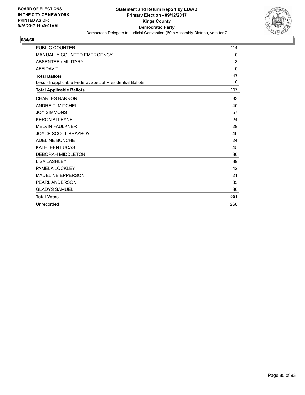

| <b>PUBLIC COUNTER</b>                                    | 114          |
|----------------------------------------------------------|--------------|
| <b>MANUALLY COUNTED EMERGENCY</b>                        | $\mathbf{0}$ |
| <b>ABSENTEE / MILITARY</b>                               | 3            |
| <b>AFFIDAVIT</b>                                         | $\mathbf{0}$ |
| <b>Total Ballots</b>                                     | 117          |
| Less - Inapplicable Federal/Special Presidential Ballots | 0            |
| <b>Total Applicable Ballots</b>                          | 117          |
| <b>CHARLES BARRON</b>                                    | 83           |
| <b>ANDRE T. MITCHELL</b>                                 | 40           |
| <b>JOY SIMMONS</b>                                       | 57           |
| <b>KERON ALLEYNE</b>                                     | 24           |
| <b>MELVIN FAULKNER</b>                                   | 29           |
| <b>JOYCE SCOTT-BRAYBOY</b>                               | 40           |
| <b>ADELINE BUNCHE</b>                                    | 24           |
| <b>KATHLEEN LUCAS</b>                                    | 45           |
| <b>DEBORAH MIDDLETON</b>                                 | 36           |
| <b>LISA LASHLEY</b>                                      | 39           |
| PAMELA LOCKLEY                                           | 42           |
| <b>MADELINE EPPERSON</b>                                 | 21           |
| <b>PEARL ANDERSON</b>                                    | 35           |
| <b>GLADYS SAMUEL</b>                                     | 36           |
| <b>Total Votes</b>                                       | 551          |
| Unrecorded                                               | 268          |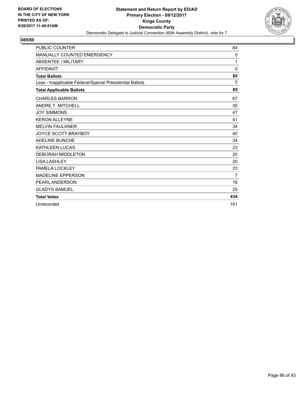

| <b>PUBLIC COUNTER</b>                                    | 84             |
|----------------------------------------------------------|----------------|
| <b>MANUALLY COUNTED EMERGENCY</b>                        | $\mathbf 0$    |
| <b>ABSENTEE / MILITARY</b>                               | 1              |
| <b>AFFIDAVIT</b>                                         | $\mathbf{0}$   |
| <b>Total Ballots</b>                                     | 85             |
| Less - Inapplicable Federal/Special Presidential Ballots | 0              |
| <b>Total Applicable Ballots</b>                          | 85             |
| <b>CHARLES BARRON</b>                                    | 67             |
| <b>ANDRE T. MITCHELL</b>                                 | 35             |
| <b>JOY SIMMONS</b>                                       | 47             |
| <b>KERON ALLEYNE</b>                                     | 41             |
| <b>MELVIN FAULKNER</b>                                   | 34             |
| <b>JOYCE SCOTT-BRAYBOY</b>                               | 40             |
| <b>ADELINE BUNCHE</b>                                    | 34             |
| <b>KATHLEEN LUCAS</b>                                    | 23             |
| <b>DEBORAH MIDDLETON</b>                                 | 20             |
| <b>LISA LASHLEY</b>                                      | 20             |
| PAMELA LOCKLEY                                           | 23             |
| <b>MADELINE EPPERSON</b>                                 | $\overline{7}$ |
| <b>PEARL ANDERSON</b>                                    | 18             |
| <b>GLADYS SAMUEL</b>                                     | 25             |
| <b>Total Votes</b>                                       | 434            |
| Unrecorded                                               | 161            |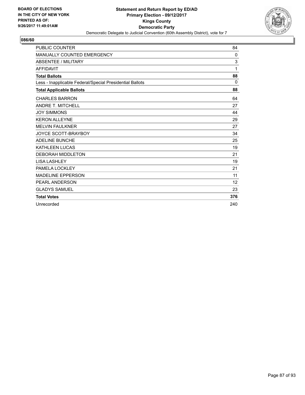

| <b>PUBLIC COUNTER</b>                                    | 84           |
|----------------------------------------------------------|--------------|
| <b>MANUALLY COUNTED EMERGENCY</b>                        | $\mathbf{0}$ |
| ABSENTEE / MILITARY                                      | 3            |
| <b>AFFIDAVIT</b>                                         | 1            |
| <b>Total Ballots</b>                                     | 88           |
| Less - Inapplicable Federal/Special Presidential Ballots | $\Omega$     |
| <b>Total Applicable Ballots</b>                          | 88           |
| <b>CHARLES BARRON</b>                                    | 64           |
| <b>ANDRE T. MITCHELL</b>                                 | 27           |
| <b>JOY SIMMONS</b>                                       | 44           |
| <b>KERON ALLEYNE</b>                                     | 29           |
| <b>MELVIN FAULKNER</b>                                   | 27           |
| <b>JOYCE SCOTT-BRAYBOY</b>                               | 34           |
| <b>ADELINE BUNCHE</b>                                    | 25           |
| <b>KATHLEEN LUCAS</b>                                    | 19           |
| <b>DEBORAH MIDDLETON</b>                                 | 21           |
| <b>LISA LASHLEY</b>                                      | 19           |
| PAMELA LOCKLEY                                           | 21           |
| <b>MADELINE EPPERSON</b>                                 | 11           |
| <b>PEARL ANDERSON</b>                                    | 12           |
| <b>GLADYS SAMUEL</b>                                     | 23           |
| <b>Total Votes</b>                                       | 376          |
| Unrecorded                                               | 240          |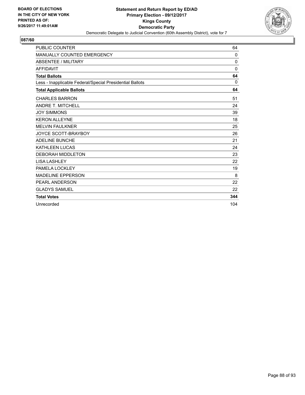

| <b>PUBLIC COUNTER</b>                                    | 64       |
|----------------------------------------------------------|----------|
| MANUALLY COUNTED EMERGENCY                               | 0        |
| <b>ABSENTEE / MILITARY</b>                               | 0        |
| <b>AFFIDAVIT</b>                                         | $\Omega$ |
| <b>Total Ballots</b>                                     | 64       |
| Less - Inapplicable Federal/Special Presidential Ballots | 0        |
| <b>Total Applicable Ballots</b>                          | 64       |
| <b>CHARLES BARRON</b>                                    | 51       |
| <b>ANDRE T. MITCHELL</b>                                 | 24       |
| <b>JOY SIMMONS</b>                                       | 39       |
| <b>KERON ALLEYNE</b>                                     | 18       |
| <b>MELVIN FAULKNER</b>                                   | 25       |
| JOYCE SCOTT-BRAYBOY                                      | 26       |
| <b>ADELINE BUNCHE</b>                                    | 21       |
| <b>KATHLEEN LUCAS</b>                                    | 24       |
| <b>DEBORAH MIDDLETON</b>                                 | 23       |
| <b>LISA LASHLEY</b>                                      | 22       |
| PAMELA LOCKLEY                                           | 19       |
| <b>MADELINE EPPERSON</b>                                 | 8        |
| <b>PEARL ANDERSON</b>                                    | 22       |
| <b>GLADYS SAMUEL</b>                                     | 22       |
| <b>Total Votes</b>                                       | 344      |
| Unrecorded                                               | 104      |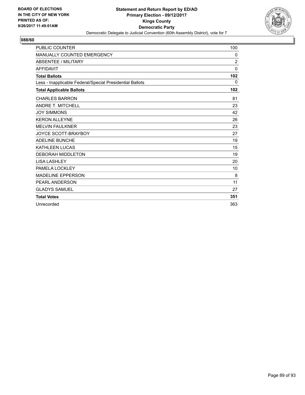

| <b>PUBLIC COUNTER</b>                                    | 100            |
|----------------------------------------------------------|----------------|
| <b>MANUALLY COUNTED EMERGENCY</b>                        | 0              |
| <b>ABSENTEE / MILITARY</b>                               | $\overline{2}$ |
| <b>AFFIDAVIT</b>                                         | $\mathbf{0}$   |
| <b>Total Ballots</b>                                     | 102            |
| Less - Inapplicable Federal/Special Presidential Ballots | 0              |
| <b>Total Applicable Ballots</b>                          | 102            |
| <b>CHARLES BARRON</b>                                    | 81             |
| <b>ANDRE T. MITCHELL</b>                                 | 23             |
| <b>JOY SIMMONS</b>                                       | 42             |
| <b>KERON ALLEYNE</b>                                     | 26             |
| <b>MELVIN FAULKNER</b>                                   | 23             |
| <b>JOYCE SCOTT-BRAYBOY</b>                               | 27             |
| <b>ADELINE BUNCHE</b>                                    | 19             |
| <b>KATHLEEN LUCAS</b>                                    | 15             |
| <b>DEBORAH MIDDLETON</b>                                 | 19             |
| <b>LISA LASHLEY</b>                                      | 20             |
| PAMELA LOCKLEY                                           | 10             |
| <b>MADELINE EPPERSON</b>                                 | 8              |
| PEARL ANDERSON                                           | 11             |
| <b>GLADYS SAMUEL</b>                                     | 27             |
| <b>Total Votes</b>                                       | 351            |
| Unrecorded                                               | 363            |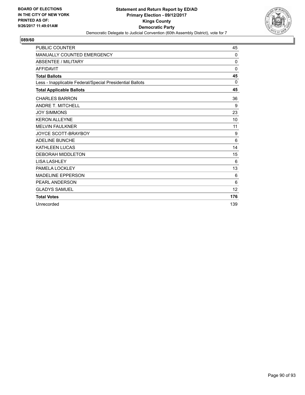

| <b>PUBLIC COUNTER</b>                                    | 45       |
|----------------------------------------------------------|----------|
| <b>MANUALLY COUNTED EMERGENCY</b>                        | $\Omega$ |
| ABSENTEE / MILITARY                                      | 0        |
| <b>AFFIDAVIT</b>                                         | $\Omega$ |
| <b>Total Ballots</b>                                     | 45       |
| Less - Inapplicable Federal/Special Presidential Ballots | $\Omega$ |
| <b>Total Applicable Ballots</b>                          | 45       |
| <b>CHARLES BARRON</b>                                    | 36       |
| <b>ANDRE T. MITCHELL</b>                                 | 9        |
| <b>JOY SIMMONS</b>                                       | 23       |
| <b>KERON ALLEYNE</b>                                     | 10       |
| <b>MELVIN FAULKNER</b>                                   | 11       |
| <b>JOYCE SCOTT-BRAYBOY</b>                               | 9        |
| <b>ADELINE BUNCHE</b>                                    | 6        |
| <b>KATHLEEN LUCAS</b>                                    | 14       |
| <b>DEBORAH MIDDLETON</b>                                 | 15       |
| <b>LISA LASHLEY</b>                                      | 6        |
| PAMELA LOCKLEY                                           | 13       |
| <b>MADELINE EPPERSON</b>                                 | 6        |
| <b>PEARL ANDERSON</b>                                    | 6        |
| <b>GLADYS SAMUEL</b>                                     | 12       |
| <b>Total Votes</b>                                       | 176      |
| Unrecorded                                               | 139      |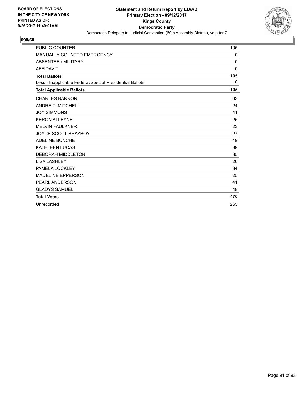

| <b>PUBLIC COUNTER</b>                                    | 105      |
|----------------------------------------------------------|----------|
| <b>MANUALLY COUNTED EMERGENCY</b>                        | 0        |
| <b>ABSENTEE / MILITARY</b>                               | 0        |
| <b>AFFIDAVIT</b>                                         | $\Omega$ |
| <b>Total Ballots</b>                                     | 105      |
| Less - Inapplicable Federal/Special Presidential Ballots | 0        |
| <b>Total Applicable Ballots</b>                          | 105      |
| <b>CHARLES BARRON</b>                                    | 63       |
| <b>ANDRE T. MITCHELL</b>                                 | 24       |
| <b>JOY SIMMONS</b>                                       | 41       |
| <b>KERON ALLEYNE</b>                                     | 25       |
| <b>MELVIN FAULKNER</b>                                   | 23       |
| <b>JOYCE SCOTT-BRAYBOY</b>                               | 27       |
| <b>ADELINE BUNCHE</b>                                    | 19       |
| <b>KATHLEEN LUCAS</b>                                    | 39       |
| <b>DEBORAH MIDDLETON</b>                                 | 35       |
| <b>LISA LASHLEY</b>                                      | 26       |
| PAMELA LOCKLEY                                           | 34       |
| <b>MADELINE EPPERSON</b>                                 | 25       |
| <b>PEARL ANDERSON</b>                                    | 41       |
| <b>GLADYS SAMUEL</b>                                     | 48       |
| <b>Total Votes</b>                                       | 470      |
| Unrecorded                                               | 265      |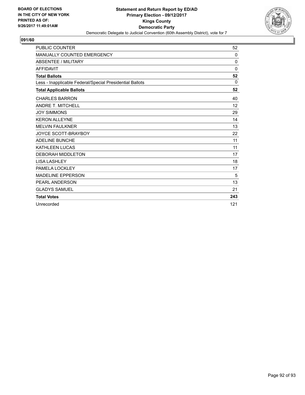

| <b>PUBLIC COUNTER</b>                                    | 52                |
|----------------------------------------------------------|-------------------|
| MANUALLY COUNTED EMERGENCY                               | 0                 |
| <b>ABSENTEE / MILITARY</b>                               | 0                 |
| <b>AFFIDAVIT</b>                                         | 0                 |
| <b>Total Ballots</b>                                     | 52                |
| Less - Inapplicable Federal/Special Presidential Ballots | $\Omega$          |
| <b>Total Applicable Ballots</b>                          | 52                |
| <b>CHARLES BARRON</b>                                    | 40                |
| <b>ANDRE T. MITCHELL</b>                                 | $12 \overline{ }$ |
| <b>JOY SIMMONS</b>                                       | 29                |
| <b>KERON ALLEYNE</b>                                     | 14                |
| <b>MELVIN FAULKNER</b>                                   | 13                |
| <b>JOYCE SCOTT-BRAYBOY</b>                               | 22                |
| <b>ADELINE BUNCHE</b>                                    | 11                |
| <b>KATHLEEN LUCAS</b>                                    | 11                |
| <b>DEBORAH MIDDLETON</b>                                 | 17                |
| <b>LISA LASHLEY</b>                                      | 18                |
| PAMELA LOCKLEY                                           | 17                |
| <b>MADELINE EPPERSON</b>                                 | 5                 |
| PEARL ANDERSON                                           | 13                |
| <b>GLADYS SAMUEL</b>                                     | 21                |
| <b>Total Votes</b>                                       | 243               |
| Unrecorded                                               | 121               |